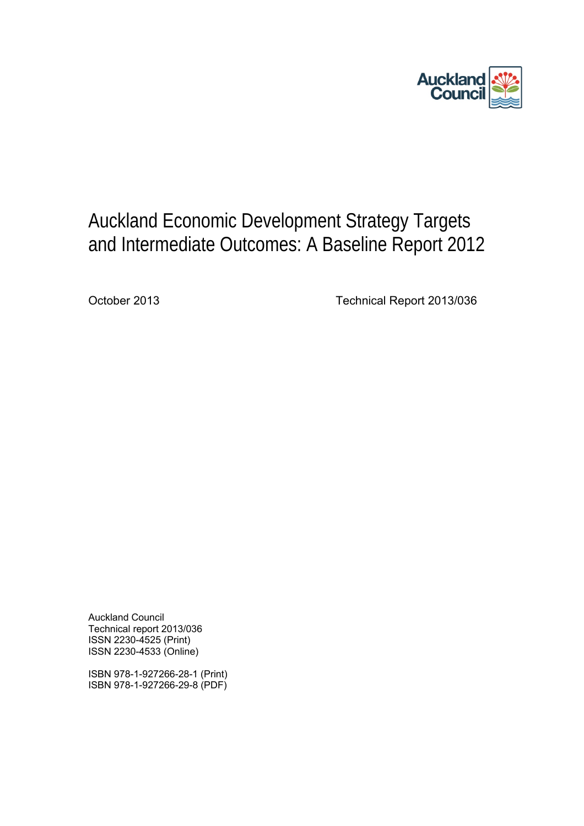

# Auckland Economic Development Strategy Targets and Intermediate Outcomes: A Baseline Report 2012

October 2013 Technical Report 2013/036

Auckland Council Technical report 2013/036 ISSN 2230-4525 (Print) ISSN 2230-4533 (Online)

ISBN 978-1-927266-28-1 (Print) ISBN 978-1-927266-29-8 (PDF)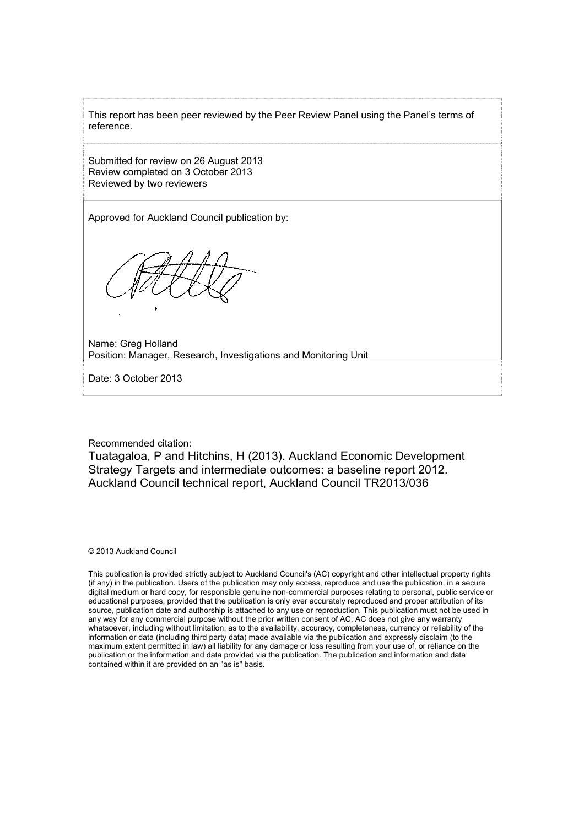This report has been peer reviewed by the Peer Review Panel using the Panel's terms of reference.

Submitted for review on 26 August 2013 Review completed on 3 October 2013 Reviewed by two reviewers

Approved for Auckland Council publication by:

Name: Greg Holland Position: Manager, Research, Investigations and Monitoring Unit

Date: 3 October 2013

Recommended citation:

Tuatagaloa, P and Hitchins, H (2013). Auckland Economic Development Strategy Targets and intermediate outcomes: a baseline report 2012. Auckland Council technical report, Auckland Council TR2013/036

© 2013 Auckland Council

This publication is provided strictly subject to Auckland Council's (AC) copyright and other intellectual property rights (if any) in the publication. Users of the publication may only access, reproduce and use the publication, in a secure digital medium or hard copy, for responsible genuine non-commercial purposes relating to personal, public service or educational purposes, provided that the publication is only ever accurately reproduced and proper attribution of its source, publication date and authorship is attached to any use or reproduction. This publication must not be used in any way for any commercial purpose without the prior written consent of AC. AC does not give any warranty whatsoever, including without limitation, as to the availability, accuracy, completeness, currency or reliability of the information or data (including third party data) made available via the publication and expressly disclaim (to the maximum extent permitted in law) all liability for any damage or loss resulting from your use of, or reliance on the publication or the information and data provided via the publication. The publication and information and data contained within it are provided on an "as is" basis.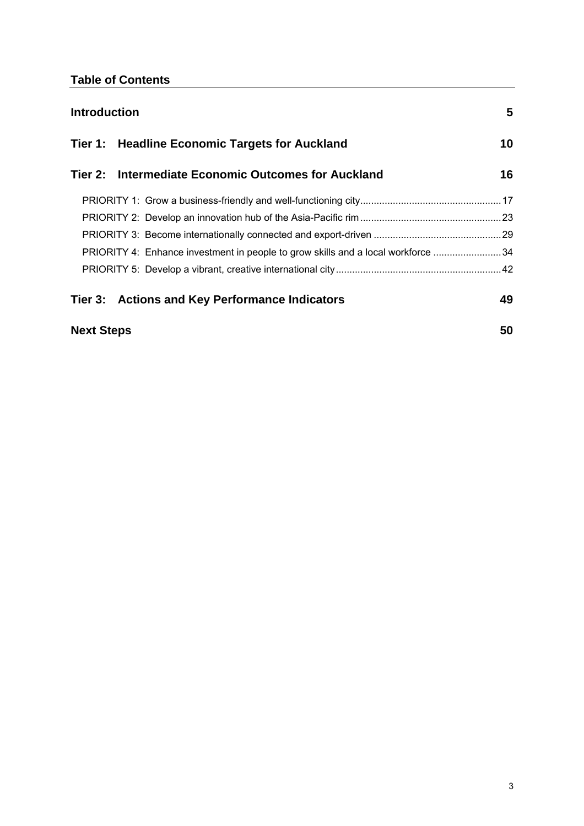## **Table of Contents**

| <b>Introduction</b> |                                                                                  | 5  |
|---------------------|----------------------------------------------------------------------------------|----|
|                     | Tier 1: Headline Economic Targets for Auckland                                   | 10 |
|                     | Tier 2: Intermediate Economic Outcomes for Auckland                              | 16 |
|                     |                                                                                  |    |
|                     |                                                                                  |    |
|                     |                                                                                  |    |
|                     | PRIORITY 4: Enhance investment in people to grow skills and a local workforce 34 |    |
|                     |                                                                                  |    |
|                     | Tier 3: Actions and Key Performance Indicators                                   | 49 |
| <b>Next Steps</b>   |                                                                                  | 50 |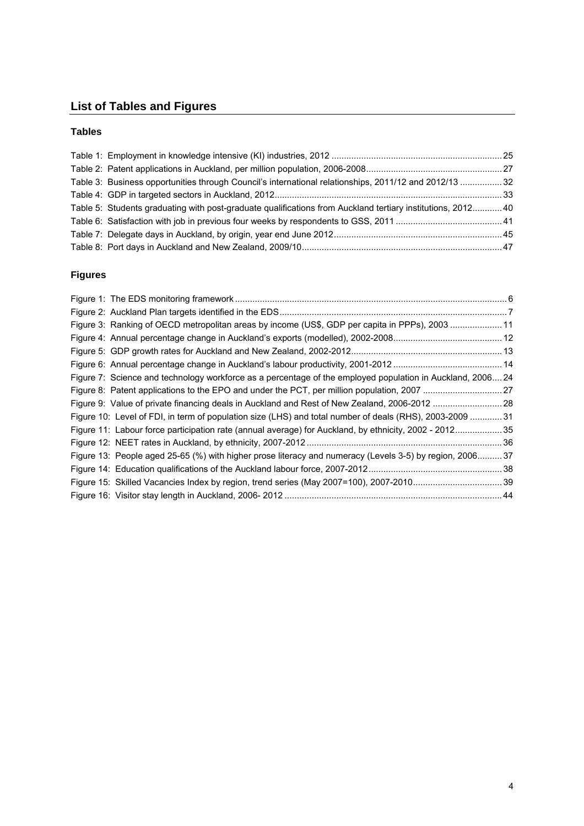# **List of Tables and Figures**

### **Tables**

| Table 3: Business opportunities through Council's international relationships, 2011/12 and 2012/13 32      |  |
|------------------------------------------------------------------------------------------------------------|--|
|                                                                                                            |  |
| Table 5: Students graduating with post-graduate qualifications from Auckland tertiary institutions, 201240 |  |
|                                                                                                            |  |
|                                                                                                            |  |
|                                                                                                            |  |

### **Figures**

| Figure 3: Ranking of OECD metropolitan areas by income (US\$, GDP per capita in PPPs), 2003 11             |
|------------------------------------------------------------------------------------------------------------|
|                                                                                                            |
|                                                                                                            |
|                                                                                                            |
| Figure 7: Science and technology workforce as a percentage of the employed population in Auckland, 2006 24 |
|                                                                                                            |
| Figure 9: Value of private financing deals in Auckland and Rest of New Zealand, 2006-2012  28              |
| Figure 10: Level of FDI, in term of population size (LHS) and total number of deals (RHS), 2003-2009  31   |
| Figure 11: Labour force participation rate (annual average) for Auckland, by ethnicity, 2002 - 201235      |
|                                                                                                            |
| Figure 13: People aged 25-65 (%) with higher prose literacy and numeracy (Levels 3-5) by region, 2006 37   |
|                                                                                                            |
|                                                                                                            |
|                                                                                                            |
|                                                                                                            |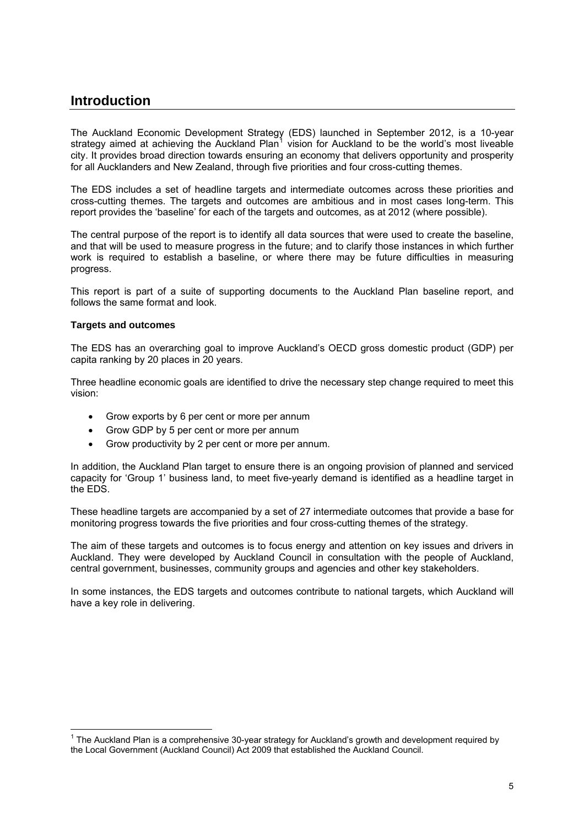### <span id="page-4-0"></span>**Introduction**

The Auckland Economic Development Strategy (EDS) launched in September 2012, is a 10-year strategy aimed at achieving the Auckland Plan<sup>[1](#page-4-1)</sup> vision for Auckland to be the world's most liveable city. It provides broad direction towards ensuring an economy that delivers opportunity and prosperity for all Aucklanders and New Zealand, through five priorities and four cross-cutting themes.

The EDS includes a set of headline targets and intermediate outcomes across these priorities and cross-cutting themes. The targets and outcomes are ambitious and in most cases long-term. This report provides the 'baseline' for each of the targets and outcomes, as at 2012 (where possible).

The central purpose of the report is to identify all data sources that were used to create the baseline, and that will be used to measure progress in the future; and to clarify those instances in which further work is required to establish a baseline, or where there may be future difficulties in measuring progress.

This report is part of a suite of supporting documents to the Auckland Plan baseline report, and follows the same format and look.

### **Targets and outcomes**

 $\overline{a}$ 

The EDS has an overarching goal to improve Auckland's OECD gross domestic product (GDP) per capita ranking by 20 places in 20 years.

Three headline economic goals are identified to drive the necessary step change required to meet this vision:

- Grow exports by 6 per cent or more per annum
- Grow GDP by 5 per cent or more per annum
- Grow productivity by 2 per cent or more per annum.

In addition, the Auckland Plan target to ensure there is an ongoing provision of planned and serviced capacity for 'Group 1' business land, to meet five-yearly demand is identified as a headline target in the EDS.

These headline targets are accompanied by a set of 27 intermediate outcomes that provide a base for monitoring progress towards the five priorities and four cross-cutting themes of the strategy.

The aim of these targets and outcomes is to focus energy and attention on key issues and drivers in Auckland. They were developed by Auckland Council in consultation with the people of Auckland, central government, businesses, community groups and agencies and other key stakeholders.

In some instances, the EDS targets and outcomes contribute to national targets, which Auckland will have a key role in delivering.

<span id="page-4-1"></span><sup>&</sup>lt;sup>1</sup> The Auckland Plan is a comprehensive 30-year strategy for Auckland's growth and development required by the Local Government (Auckland Council) Act 2009 that established the Auckland Council.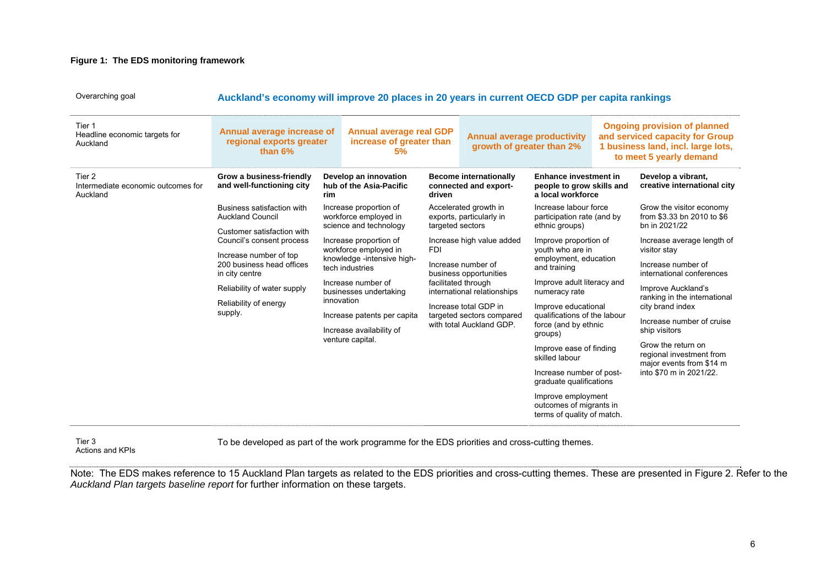### **Figure 1: The EDS monitoring framework**

Overarching goal **Auckland's economy will improve 20 places in 20 years in current OECD GDP per capita rankings** 

| Tier 1<br>Headline economic targets for<br>Auckland                    | Annual average increase of<br>regional exports greater<br>than $6\%$              |                                                                                                                                                                               | <b>Annual average real GDP</b><br>increase of greater than<br>5%                                                                          |                                                                                                                                      | <b>Annual average productivity</b><br>growth of greater than 2%                                                                       |                                                                                |                                                                            | <b>Ongoing provision of planned</b><br>and serviced capacity for Group<br>1 business land, incl. large lots,<br>to meet 5 yearly demand |
|------------------------------------------------------------------------|-----------------------------------------------------------------------------------|-------------------------------------------------------------------------------------------------------------------------------------------------------------------------------|-------------------------------------------------------------------------------------------------------------------------------------------|--------------------------------------------------------------------------------------------------------------------------------------|---------------------------------------------------------------------------------------------------------------------------------------|--------------------------------------------------------------------------------|----------------------------------------------------------------------------|-----------------------------------------------------------------------------------------------------------------------------------------|
| Tier 2<br>Intermediate economic outcomes for<br>Auckland               | Grow a business-friendly<br>and well-functioning city                             | rim                                                                                                                                                                           | Develop an innovation<br>hub of the Asia-Pacific                                                                                          | driven                                                                                                                               | <b>Become internationally</b><br>connected and export-                                                                                | <b>Enhance investment in</b><br>people to grow skills and<br>a local workforce |                                                                            | Develop a vibrant,<br>creative international city                                                                                       |
|                                                                        | Business satisfaction with<br><b>Auckland Council</b>                             | Increase proportion of<br>workforce employed in<br>science and technology<br>Increase proportion of<br>workforce employed in<br>knowledge -intensive high-<br>tech industries |                                                                                                                                           | targeted sectors                                                                                                                     | Accelerated growth in<br>exports, particularly in                                                                                     | Increase labour force<br>participation rate (and by<br>ethnic groups)          |                                                                            | Grow the visitor economy<br>from \$3.33 bn 2010 to \$6<br>bn in 2021/22                                                                 |
|                                                                        | Customer satisfaction with<br>Council's consent process<br>Increase number of top |                                                                                                                                                                               | Increase high value added<br><b>FDI</b>                                                                                                   |                                                                                                                                      | Improve proportion of<br>youth who are in                                                                                             |                                                                                | Increase average length of<br>visitor stay                                 |                                                                                                                                         |
| in city centre<br>Reliability of water supply<br>Reliability of energy | 200 business head offices                                                         |                                                                                                                                                                               | Increase number of<br>business opportunities                                                                                              | employment, education<br>and training                                                                                                | Increase number of<br>international conferences                                                                                       |                                                                                |                                                                            |                                                                                                                                         |
|                                                                        |                                                                                   |                                                                                                                                                                               | Increase number of<br>businesses undertaking<br>innovation<br>Increase patents per capita<br>Increase availability of<br>venture capital. | facilitated through<br>international relationships<br>Increase total GDP in<br>targeted sectors compared<br>with total Auckland GDP. | Improve adult literacy and<br>numeracy rate<br>Improve educational<br>qualifications of the labour<br>force (and by ethnic<br>groups) | Improve Auckland's<br>ranking in the international<br>city brand index         |                                                                            |                                                                                                                                         |
|                                                                        | supply.                                                                           |                                                                                                                                                                               |                                                                                                                                           |                                                                                                                                      |                                                                                                                                       | Increase number of cruise<br>ship visitors                                     |                                                                            |                                                                                                                                         |
|                                                                        |                                                                                   |                                                                                                                                                                               |                                                                                                                                           |                                                                                                                                      | Improve ease of finding<br>skilled labour                                                                                             |                                                                                | Grow the return on<br>regional investment from<br>major events from \$14 m |                                                                                                                                         |
|                                                                        |                                                                                   |                                                                                                                                                                               |                                                                                                                                           |                                                                                                                                      |                                                                                                                                       | Increase number of post-<br>graduate qualifications                            |                                                                            | into \$70 m in 2021/22.                                                                                                                 |
|                                                                        |                                                                                   |                                                                                                                                                                               |                                                                                                                                           |                                                                                                                                      |                                                                                                                                       | Improve employment<br>outcomes of migrants in<br>terms of quality of match.    |                                                                            |                                                                                                                                         |

Tier 3 Actions and KPIs To be developed as part of the work programme for the EDS priorities and cross-cutting themes.

<span id="page-5-0"></span>Note: The EDS makes reference to 15 Auckland Plan targets as related to the EDS priorities and cross-cutting themes. These are presented in Figure 2. Refer to the *Auckland Plan targets baseline report* for further information on these targets.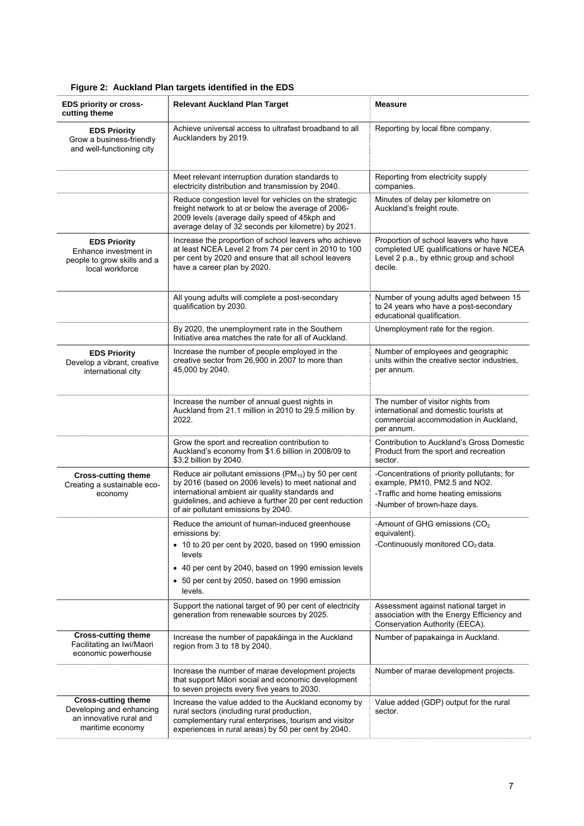<span id="page-6-0"></span>

| <b>EDS priority or cross-</b><br>cutting theme                                                        | <b>Relevant Auckland Plan Target</b>                                                                                                                                                                                                                                          | <b>Measure</b>                                                                                                                                     |
|-------------------------------------------------------------------------------------------------------|-------------------------------------------------------------------------------------------------------------------------------------------------------------------------------------------------------------------------------------------------------------------------------|----------------------------------------------------------------------------------------------------------------------------------------------------|
| <b>EDS Priority</b><br>Grow a business-friendly<br>and well-functioning city                          | Achieve universal access to ultrafast broadband to all<br>Aucklanders by 2019.                                                                                                                                                                                                | Reporting by local fibre company.                                                                                                                  |
|                                                                                                       | Meet relevant interruption duration standards to<br>electricity distribution and transmission by 2040.                                                                                                                                                                        | Reporting from electricity supply<br>companies.                                                                                                    |
|                                                                                                       | Reduce congestion level for vehicles on the strategic<br>freight network to at or below the average of 2006-<br>2009 levels (average daily speed of 45kph and<br>average delay of 32 seconds per kilometre) by 2021.                                                          | Minutes of delay per kilometre on<br>Auckland's freight route.                                                                                     |
| <b>EDS Priority</b><br>Enhance investment in<br>people to grow skills and a<br>local workforce        | Increase the proportion of school leavers who achieve<br>at least NCEA Level 2 from 74 per cent in 2010 to 100<br>per cent by 2020 and ensure that all school leavers<br>have a career plan by 2020.                                                                          | Proportion of school leavers who have<br>completed UE qualifications or have NCEA<br>Level 2 p.a., by ethnic group and school<br>decile.           |
|                                                                                                       | All young adults will complete a post-secondary<br>qualification by 2030.                                                                                                                                                                                                     | Number of young adults aged between 15<br>to 24 years who have a post-secondary<br>educational qualification.                                      |
|                                                                                                       | By 2020, the unemployment rate in the Southern<br>Initiative area matches the rate for all of Auckland.                                                                                                                                                                       | Unemployment rate for the region.                                                                                                                  |
| <b>EDS Priority</b><br>Develop a vibrant, creative<br>international city                              | Increase the number of people employed in the<br>creative sector from 26,900 in 2007 to more than<br>45,000 by 2040.                                                                                                                                                          | Number of employees and geographic<br>units within the creative sector industries.<br>per annum.                                                   |
|                                                                                                       | Increase the number of annual guest nights in<br>Auckland from 21.1 million in 2010 to 29.5 million by<br>2022.                                                                                                                                                               | The number of visitor nights from<br>international and domestic tourists at<br>commercial accommodation in Auckland,<br>per annum.                 |
|                                                                                                       | Grow the sport and recreation contribution to<br>Auckland's economy from \$1.6 billion in 2008/09 to<br>\$3.2 billion by 2040.                                                                                                                                                | Contribution to Auckland's Gross Domestic<br>Product from the sport and recreation<br>sector.                                                      |
| <b>Cross-cutting theme</b><br>Creating a sustainable eco-<br>economy                                  | Reduce air pollutant emissions (PM <sub>10</sub> ) by 50 per cent<br>by 2016 (based on 2006 levels) to meet national and<br>international ambient air quality standards and<br>guidelines, and achieve a further 20 per cent reduction<br>of air pollutant emissions by 2040. | -Concentrations of priority pollutants; for<br>example, PM10, PM2.5 and NO2.<br>-Traffic and home heating emissions<br>-Number of brown-haze days. |
|                                                                                                       | Reduce the amount of human-induced greenhouse<br>emissions by:                                                                                                                                                                                                                | -Amount of GHG emissions (CO <sub>2</sub><br>equivalent).                                                                                          |
|                                                                                                       | • 10 to 20 per cent by 2020, based on 1990 emission<br>levels                                                                                                                                                                                                                 | -Continuously monitored $CO2$ data.                                                                                                                |
|                                                                                                       | • 40 per cent by 2040, based on 1990 emission levels<br>• 50 per cent by 2050, based on 1990 emission<br>levels.                                                                                                                                                              |                                                                                                                                                    |
|                                                                                                       | Support the national target of 90 per cent of electricity<br>generation from renewable sources by 2025.                                                                                                                                                                       | Assessment against national target in<br>association with the Energy Efficiency and<br>Conservation Authority (EECA).                              |
| <b>Cross-cutting theme</b><br>Facilitating an Iwi/Maori<br>economic powerhouse                        | Increase the number of papakāinga in the Auckland<br>region from 3 to 18 by 2040.                                                                                                                                                                                             | Number of papakainga in Auckland.                                                                                                                  |
|                                                                                                       | Increase the number of marae development projects<br>that support Māori social and economic development<br>to seven projects every five years to 2030.                                                                                                                        | Number of marae development projects.                                                                                                              |
| <b>Cross-cutting theme</b><br>Developing and enhancing<br>an innovative rural and<br>maritime economy | Increase the value added to the Auckland economy by<br>rural sectors (including rural production,<br>complementary rural enterprises, tourism and visitor<br>experiences in rural areas) by 50 per cent by 2040.                                                              | Value added (GDP) output for the rural<br>sector.                                                                                                  |

### **Figure 2: Auckland Plan targets identified in the EDS**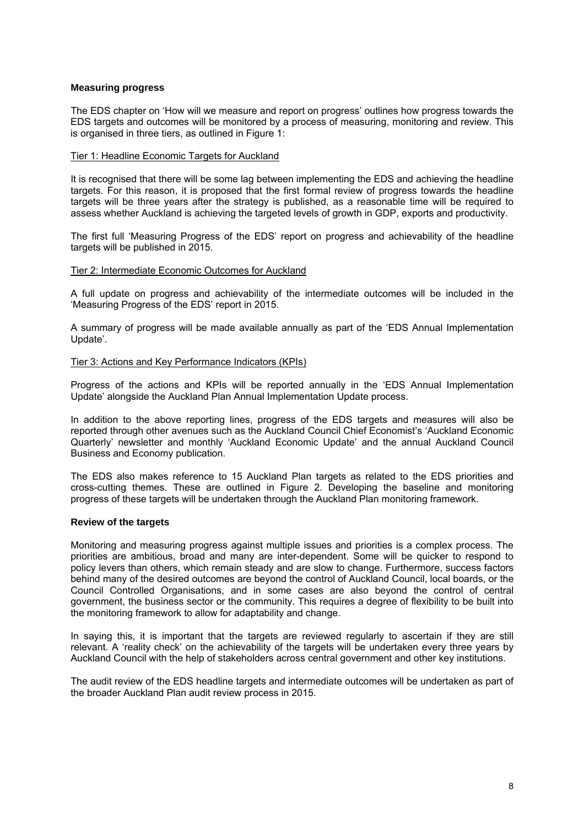### **Measuring progress**

The EDS chapter on 'How will we measure and report on progress' outlines how progress towards the EDS targets and outcomes will be monitored by a process of measuring, monitoring and review. This is organised in three tiers, as outlined in Figure 1:

### Tier 1: Headline Economic Targets for Auckland

It is recognised that there will be some lag between implementing the EDS and achieving the headline targets. For this reason, it is proposed that the first formal review of progress towards the headline targets will be three years after the strategy is published, as a reasonable time will be required to assess whether Auckland is achieving the targeted levels of growth in GDP, exports and productivity.

The first full 'Measuring Progress of the EDS' report on progress and achievability of the headline targets will be published in 2015.

### Tier 2: Intermediate Economic Outcomes for Auckland

A full update on progress and achievability of the intermediate outcomes will be included in the 'Measuring Progress of the EDS' report in 2015.

A summary of progress will be made available annually as part of the 'EDS Annual Implementation Update'.

### Tier 3: Actions and Key Performance Indicators (KPIs)

Progress of the actions and KPIs will be reported annually in the 'EDS Annual Implementation Update' alongside the Auckland Plan Annual Implementation Update process.

In addition to the above reporting lines, progress of the EDS targets and measures will also be reported through other avenues such as the Auckland Council Chief Economist's 'Auckland Economic Quarterly' newsletter and monthly 'Auckland Economic Update' and the annual Auckland Council Business and Economy publication.

The EDS also makes reference to 15 Auckland Plan targets as related to the EDS priorities and cross-cutting themes. These are outlined in Figure 2. Developing the baseline and monitoring progress of these targets will be undertaken through the Auckland Plan monitoring framework.

### **Review of the targets**

Monitoring and measuring progress against multiple issues and priorities is a complex process. The priorities are ambitious, broad and many are inter-dependent. Some will be quicker to respond to policy levers than others, which remain steady and are slow to change. Furthermore, success factors behind many of the desired outcomes are beyond the control of Auckland Council, local boards, or the Council Controlled Organisations, and in some cases are also beyond the control of central government, the business sector or the community. This requires a degree of flexibility to be built into the monitoring framework to allow for adaptability and change.

In saying this, it is important that the targets are reviewed regularly to ascertain if they are still relevant. A 'reality check' on the achievability of the targets will be undertaken every three years by Auckland Council with the help of stakeholders across central government and other key institutions.

The audit review of the EDS headline targets and intermediate outcomes will be undertaken as part of the broader Auckland Plan audit review process in 2015.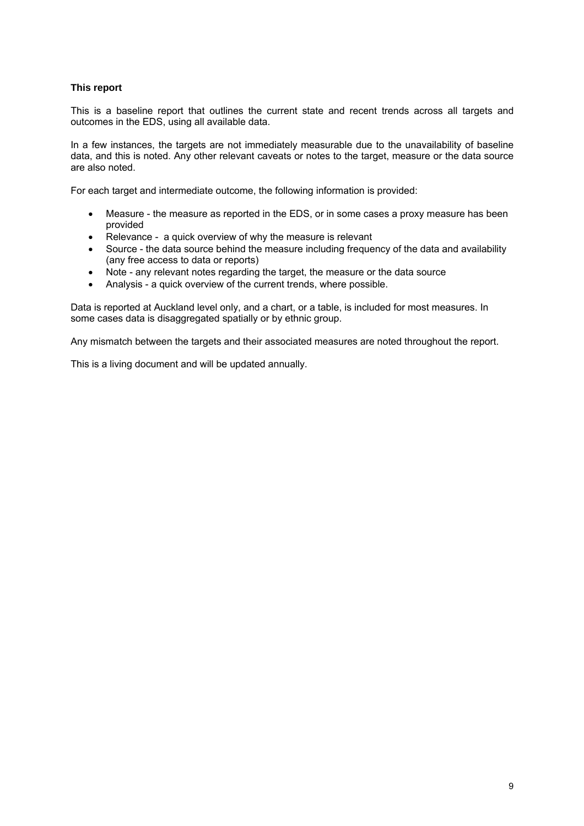### **This report**

This is a baseline report that outlines the current state and recent trends across all targets and outcomes in the EDS, using all available data.

In a few instances, the targets are not immediately measurable due to the unavailability of baseline data, and this is noted. Any other relevant caveats or notes to the target, measure or the data source are also noted.

For each target and intermediate outcome, the following information is provided:

- Measure the measure as reported in the EDS, or in some cases a proxy measure has been provided
- Relevance a quick overview of why the measure is relevant
- Source the data source behind the measure including frequency of the data and availability (any free access to data or reports)
- Note any relevant notes regarding the target, the measure or the data source
- Analysis a quick overview of the current trends, where possible.

Data is reported at Auckland level only, and a chart, or a table, is included for most measures. In some cases data is disaggregated spatially or by ethnic group.

Any mismatch between the targets and their associated measures are noted throughout the report.

This is a living document and will be updated annually.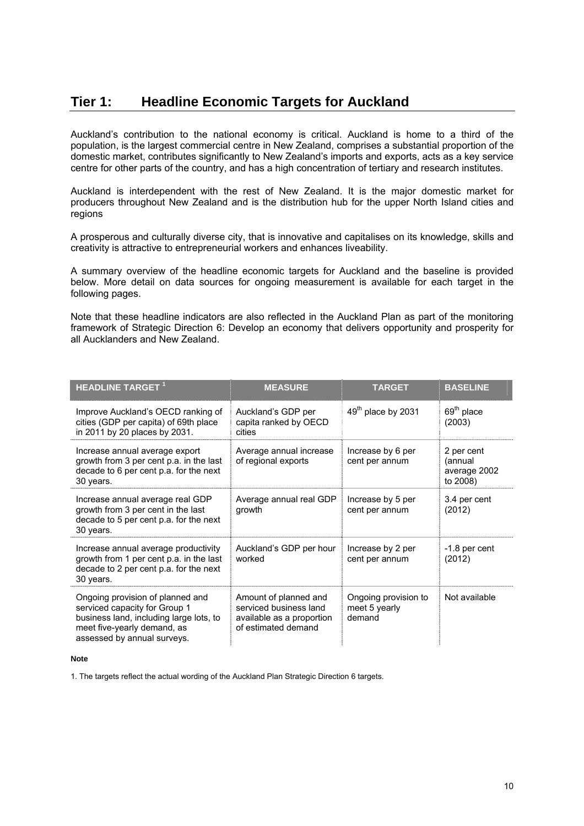# <span id="page-9-0"></span>**Tier 1: Headline Economic Targets for Auckland**

Auckland's contribution to the national economy is critical. Auckland is home to a third of the population, is the largest commercial centre in New Zealand, comprises a substantial proportion of the domestic market, contributes significantly to New Zealand's imports and exports, acts as a key service centre for other parts of the country, and has a high concentration of tertiary and research institutes.

Auckland is interdependent with the rest of New Zealand. It is the major domestic market for producers throughout New Zealand and is the distribution hub for the upper North Island cities and regions

A prosperous and culturally diverse city, that is innovative and capitalises on its knowledge, skills and creativity is attractive to entrepreneurial workers and enhances liveability.

A summary overview of the headline economic targets for Auckland and the baseline is provided below. More detail on data sources for ongoing measurement is available for each target in the following pages.

Note that these headline indicators are also reflected in the Auckland Plan as part of the monitoring framework of Strategic Direction 6: Develop an economy that delivers opportunity and prosperity for all Aucklanders and New Zealand.

| <b>HEADLINE TARGET</b> <sup>1</sup>                                                                                                                                        | <b>MEASURE</b>                                                                                      | <b>TARGET</b>                                   | <b>BASELINE</b>                                   |
|----------------------------------------------------------------------------------------------------------------------------------------------------------------------------|-----------------------------------------------------------------------------------------------------|-------------------------------------------------|---------------------------------------------------|
| Improve Auckland's OECD ranking of<br>cities (GDP per capita) of 69th place<br>in 2011 by 20 places by 2031.                                                               | Auckland's GDP per<br>capita ranked by OECD<br>cities                                               | 49 <sup>th</sup> place by 2031                  | $69th$ place<br>(2003)                            |
| Increase annual average export<br>growth from 3 per cent p.a. in the last<br>decade to 6 per cent p.a. for the next<br>30 years.                                           | Average annual increase<br>of regional exports                                                      | Increase by 6 per<br>cent per annum             | 2 per cent<br>(annual<br>average 2002<br>to 2008) |
| Increase annual average real GDP<br>growth from 3 per cent in the last<br>decade to 5 per cent p.a. for the next<br>30 years.                                              | Average annual real GDP<br>growth                                                                   | Increase by 5 per<br>cent per annum             | 3.4 per cent<br>(2012)                            |
| Increase annual average productivity<br>growth from 1 per cent p.a. in the last<br>decade to 2 per cent p.a. for the next<br>30 years.                                     | Auckland's GDP per hour<br>worked                                                                   | Increase by 2 per<br>cent per annum             | -1.8 per cent<br>(2012)                           |
| Ongoing provision of planned and<br>serviced capacity for Group 1<br>business land, including large lots, to<br>meet five-yearly demand, as<br>assessed by annual surveys. | Amount of planned and<br>serviced business land<br>available as a proportion<br>of estimated demand | Ongoing provision to<br>meet 5 yearly<br>demand | Not available                                     |

#### **Note**

1. The targets reflect the actual wording of the Auckland Plan Strategic Direction 6 targets.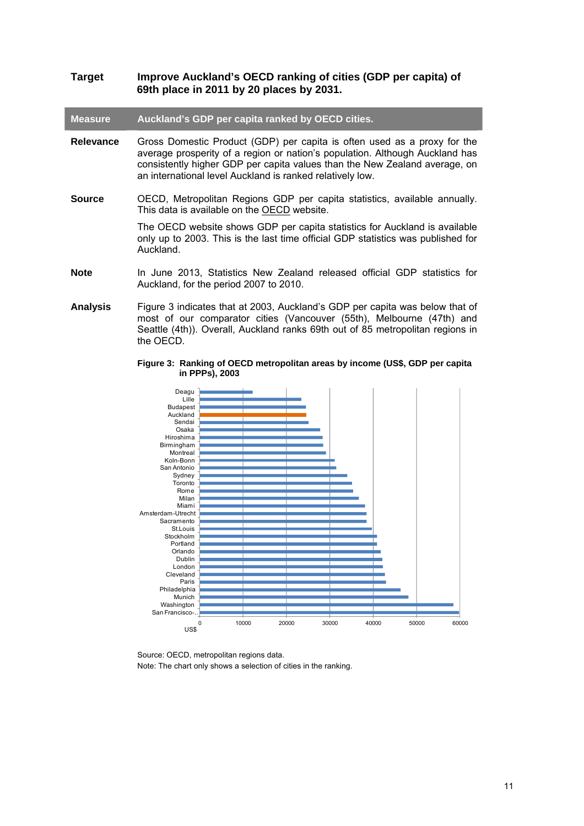### **Target Improve Auckland's OECD ranking of cities (GDP per capita) of 69th place in 2011 by 20 places by 2031.**

### **Measure Auckland's GDP per capita ranked by OECD cities.**

- **Relevance** Gross Domestic Product (GDP) per capita is often used as a proxy for the average prosperity of a region or nation's population. Although Auckland has consistently higher GDP per capita values than the New Zealand average, on an international level Auckland is ranked relatively low.
- **Source** OECD, Metropolitan Regions GDP per capita statistics, available annually. This data is available on the [OECD](http://stats.oecd.org/) website.

The OECD website shows GDP per capita statistics for Auckland is available only up to 2003. This is the last time official GDP statistics was published for Auckland.

- **Note** In June 2013, Statistics New Zealand released official GDP statistics for Auckland, for the period 2007 to 2010.
- <span id="page-10-0"></span>**Analysis** Figure 3 indicates that at 2003, Auckland's GDP per capita was below that of most of our comparator cities (Vancouver (55th), Melbourne (47th) and Seattle (4th)). Overall, Auckland ranks 69th out of 85 metropolitan regions in the OECD.

#### **Figure 3: Ranking of OECD metropolitan areas by income (US\$, GDP per capita in PPPs), 2003**



Source: OECD, metropolitan regions data. Note: The chart only shows a selection of cities in the ranking.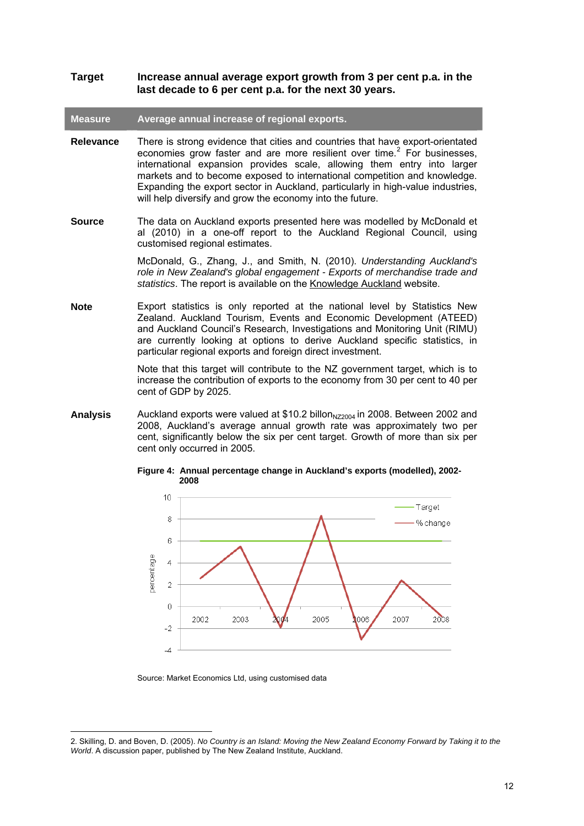### **Target Increase annual average export growth from 3 per cent p.a. in the last decade to 6 per cent p.a. for the next 30 years.**

**Measure Average annual increase of regional exports.** 

- **Relevance** There is strong evidence that cities and countries that have export-orientated economies grow faster and are more resilient over time. $2$  For businesses, international expansion provides scale, allowing them entry into larger markets and to become exposed to international competition and knowledge. Expanding the export sector in Auckland, particularly in high-value industries, will help diversify and grow the economy into the future.
- **Source** The data on Auckland exports presented here was modelled by McDonald et al (2010) in a one-off report to the Auckland Regional Council, using customised regional estimates.

McDonald, G., Zhang, J., and Smith, N. (2010). *Understanding Auckland's role in New Zealand's global engagement - Exports of merchandise trade and statistics*. The report is available on the [Knowledge Auckland](http://www.knowledgeauckland.org.nz/home/publications/publications_home.cfm?oID=D857532D-145E-173C-9838-5425F69CC60D) website.

**Note** Export statistics is only reported at the national level by Statistics New Zealand. Auckland Tourism, Events and Economic Development (ATEED) and Auckland Council's Research, Investigations and Monitoring Unit (RIMU) are currently looking at options to derive Auckland specific statistics, in particular regional exports and foreign direct investment.

> Note that this target will contribute to the NZ government target, which is to increase the contribution of exports to the economy from 30 per cent to 40 per cent of GDP by 2025.

<span id="page-11-0"></span>**Analysis** Auckland exports were valued at \$10.2 billon<sub>NZ2004</sub> in 2008. Between 2002 and 2008, Auckland's average annual growth rate was approximately two per cent, significantly below the six per cent target. Growth of more than six per cent only occurred in 2005.



**Figure 4: Annual percentage change in Auckland's exports (modelled), 2002- 2008** 

Source: Market Economics Ltd, using customised data

 $\overline{a}$ 

<span id="page-11-1"></span><sup>2.</sup> Skilling, D. and Boven, D. (2005). *No Country is an Island: Moving the New Zealand Economy Forward by Taking it to the World*. A discussion paper, published by The New Zealand Institute, Auckland.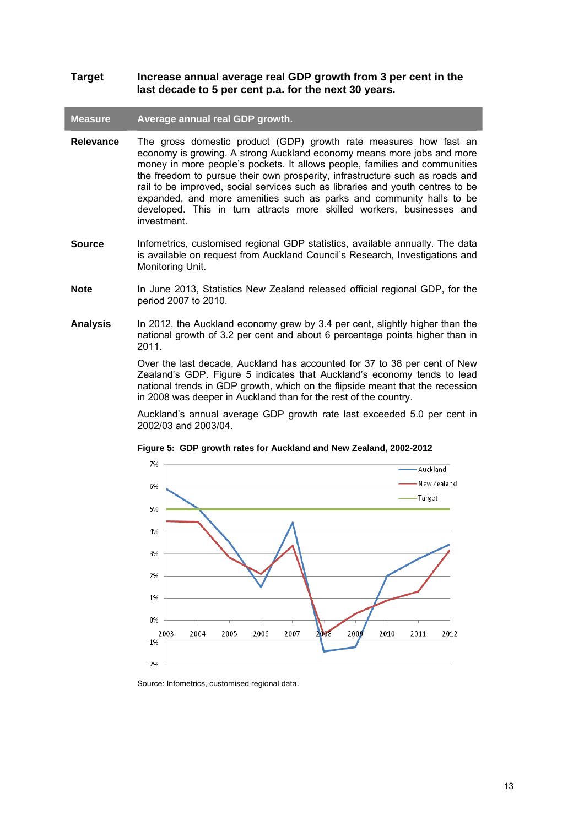### **Target Increase annual average real GDP growth from 3 per cent in the last decade to 5 per cent p.a. for the next 30 years.**

### **Measure Average annual real GDP growth.**

- **Relevance** The gross domestic product (GDP) growth rate measures how fast an economy is growing. A strong Auckland economy means more jobs and more money in more people's pockets. It allows people, families and communities the freedom to pursue their own prosperity, infrastructure such as roads and rail to be improved, social services such as libraries and youth centres to be expanded, and more amenities such as parks and community halls to be developed. This in turn attracts more skilled workers, businesses and investment.
- **Source** Infometrics, customised regional GDP statistics, available annually. The data is available on request from Auckland Council's Research, Investigations and Monitoring Unit.
- **Note** In June 2013, Statistics New Zealand released official regional GDP, for the period 2007 to 2010.
- **Analysis** In 2012, the Auckland economy grew by 3.4 per cent, slightly higher than the national growth of 3.2 per cent and about 6 percentage points higher than in 2011.

Over the last decade, Auckland has accounted for 37 to 38 per cent of New Zealand's GDP. Figure 5 indicates that Auckland's economy tends to lead national trends in GDP growth, which on the flipside meant that the recession in 2008 was deeper in Auckland than for the rest of the country.

Auckland's annual average GDP growth rate last exceeded 5.0 per cent in 2002/03 and 2003/04.

<span id="page-12-0"></span>

**Figure 5: GDP growth rates for Auckland and New Zealand, 2002-2012** 

Source: Infometrics, customised regional data.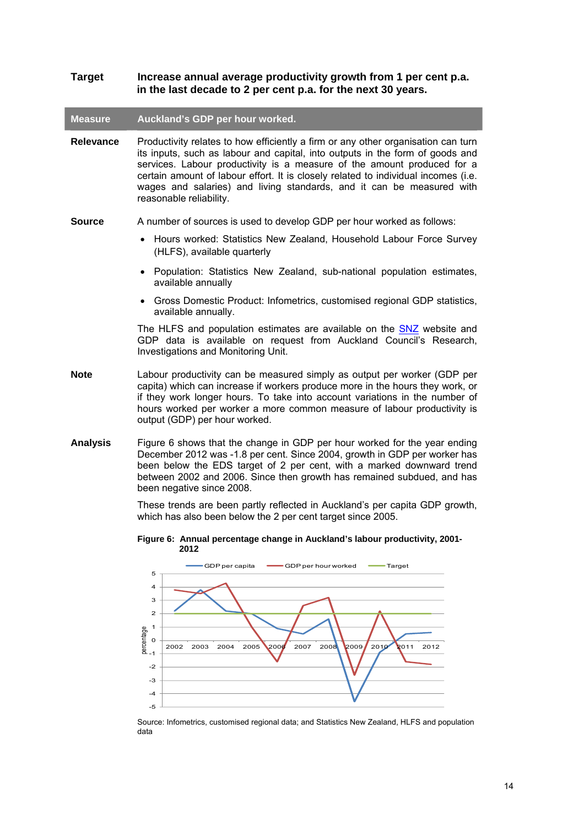| <b>Target</b>    | Increase annual average productivity growth from 1 per cent p.a.<br>in the last decade to 2 per cent p.a. for the next 30 years.                                                                                                                                                                                                                                                                                                        |
|------------------|-----------------------------------------------------------------------------------------------------------------------------------------------------------------------------------------------------------------------------------------------------------------------------------------------------------------------------------------------------------------------------------------------------------------------------------------|
| <b>Measure</b>   | Auckland's GDP per hour worked.                                                                                                                                                                                                                                                                                                                                                                                                         |
| <b>Relevance</b> | Productivity relates to how efficiently a firm or any other organisation can turn<br>its inputs, such as labour and capital, into outputs in the form of goods and<br>services. Labour productivity is a measure of the amount produced for a<br>certain amount of labour effort. It is closely related to individual incomes (i.e.<br>wages and salaries) and living standards, and it can be measured with<br>reasonable reliability. |
| <b>Source</b>    | A number of sources is used to develop GDP per hour worked as follows:                                                                                                                                                                                                                                                                                                                                                                  |
|                  | Hours worked: Statistics New Zealand, Household Labour Force Survey<br>(HLFS), available quarterly                                                                                                                                                                                                                                                                                                                                      |
|                  | Population: Statistics New Zealand, sub-national population estimates,<br>$\bullet$<br>available annually                                                                                                                                                                                                                                                                                                                               |
|                  | Gross Domestic Product: Infometrics, customised regional GDP statistics,<br>available annually.                                                                                                                                                                                                                                                                                                                                         |
|                  | The HLFS and population estimates are available on the <b>SNZ</b> website and<br>GDP data is available on request from Auckland Council's Research,<br>Investigations and Monitoring Unit.                                                                                                                                                                                                                                              |
| Note             | Labour productivity can be measured simply as output per worker (GDP per<br>capita) which can increase if workers produce more in the hours they work, or<br>if they work longer hours. To take into account variations in the number of<br>hours worked per worker a more common measure of labour productivity is<br>output (GDP) per hour worked.                                                                                    |
| <b>Analysis</b>  | Figure 6 shows that the change in GDP per hour worked for the year ending<br>December 2012 was -1.8 per cent. Since 2004, growth in GDP per worker has<br>been below the EDS target of 2 per cent, with a marked downward trend<br>between 2002 and 2006. Since then growth has remained subdued, and has<br>been negative since 2008.                                                                                                  |
|                  | These trends are been partly reflected in Auckland's per capita GDP growth,<br>which has also been below the 2 per cent target since 2005.                                                                                                                                                                                                                                                                                              |
|                  | Figure 6: Annual percentage change in Auckland's labour productivity, 2001-<br>2012                                                                                                                                                                                                                                                                                                                                                     |
|                  | GDP per hour worked<br><del>–</del> GDP per capita<br>- Target                                                                                                                                                                                                                                                                                                                                                                          |

<span id="page-13-0"></span>

Source: Infometrics, customised regional data; and Statistics New Zealand, HLFS and population data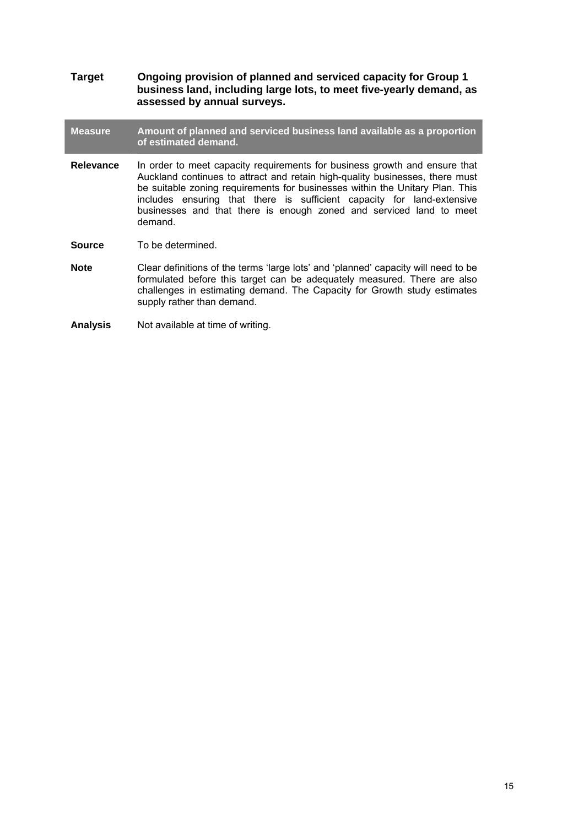**Target Ongoing provision of planned and serviced capacity for Group 1 business land, including large lots, to meet five-yearly demand, as assessed by annual surveys.** 

**Measure Amount of planned and serviced business land available as a proportion of estimated demand.** 

- **Relevance** In order to meet capacity requirements for business growth and ensure that Auckland continues to attract and retain high-quality businesses, there must be suitable zoning requirements for businesses within the Unitary Plan. This includes ensuring that there is sufficient capacity for land-extensive businesses and that there is enough zoned and serviced land to meet demand.
- **Source** To be determined.
- **Note** Clear definitions of the terms 'large lots' and 'planned' capacity will need to be formulated before this target can be adequately measured. There are also challenges in estimating demand. The Capacity for Growth study estimates supply rather than demand.

**Analysis** Not available at time of writing.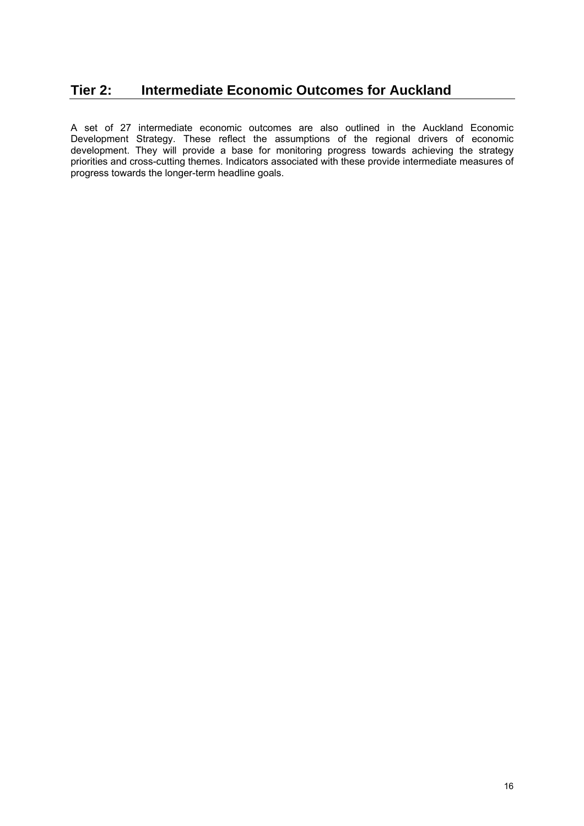# <span id="page-15-0"></span>**Tier 2: Intermediate Economic Outcomes for Auckland**

A set of 27 intermediate economic outcomes are also outlined in the Auckland Economic Development Strategy. These reflect the assumptions of the regional drivers of economic development. They will provide a base for monitoring progress towards achieving the strategy priorities and cross-cutting themes. Indicators associated with these provide intermediate measures of progress towards the longer-term headline goals.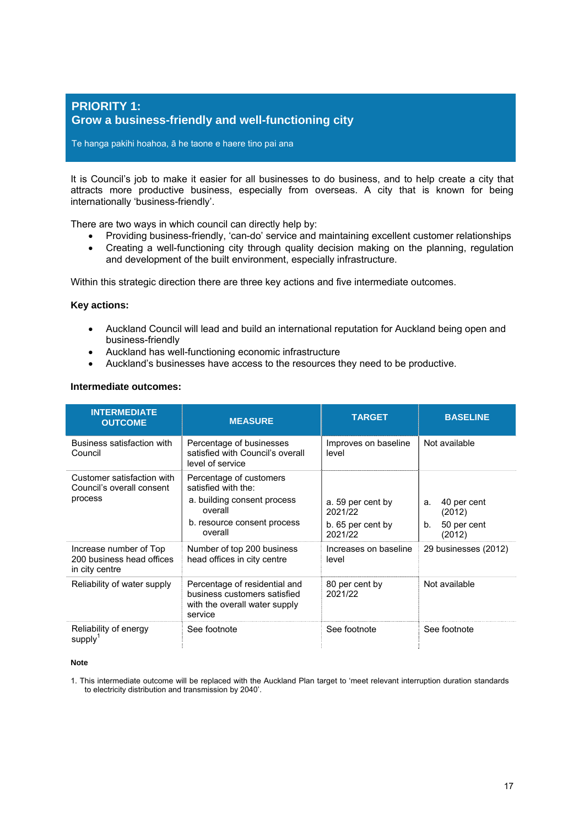### <span id="page-16-0"></span>**PRIORITY 1: Grow a business-friendly and well-functioning city**

Te hanga pakihi hoahoa, ā he taone e haere tino pai ana

It is Council's job to make it easier for all businesses to do business, and to help create a city that attracts more productive business, especially from overseas. A city that is known for being internationally 'business-friendly'.

There are two ways in which council can directly help by:

- Providing business-friendly, 'can-do' service and maintaining excellent customer relationships
- Creating a well-functioning city through quality decision making on the planning, regulation and development of the built environment, especially infrastructure.

Within this strategic direction there are three key actions and five intermediate outcomes.

### **Key actions:**

- Auckland Council will lead and build an international reputation for Auckland being open and business-friendly
- Auckland has well-functioning economic infrastructure
- Auckland's businesses have access to the resources they need to be productive.

### **Intermediate outcomes:**

| <b>INTERMEDIATE</b><br><b>OUTCOME</b>                                 | <b>MEASURE</b>                                                                                                                     | <b>TARGET</b>                                                | <b>BASELINE</b>                                            |
|-----------------------------------------------------------------------|------------------------------------------------------------------------------------------------------------------------------------|--------------------------------------------------------------|------------------------------------------------------------|
| Business satisfaction with<br>Council                                 | Percentage of businesses<br>satisfied with Council's overall<br>level of service                                                   | Improves on baseline<br>level                                | Not available                                              |
| Customer satisfaction with<br>Council's overall consent<br>process    | Percentage of customers<br>satisfied with the:<br>a. building consent process<br>overall<br>b. resource consent process<br>overall | a. 59 per cent by<br>2021/22<br>b. 65 per cent by<br>2021/22 | 40 per cent<br>a.<br>(2012)<br>50 per cent<br>b.<br>(2012) |
| Increase number of Top<br>200 business head offices<br>in city centre | Number of top 200 business<br>head offices in city centre                                                                          | Increases on baseline<br>level                               | 29 businesses (2012)                                       |
| Reliability of water supply                                           | Percentage of residential and<br>business customers satisfied<br>with the overall water supply<br>service                          | 80 per cent by<br>2021/22                                    | Not available                                              |
| Reliability of energy<br>supply                                       | See footnote                                                                                                                       | See footnote                                                 | See footnote                                               |

#### **Note**

1. This intermediate outcome will be replaced with the Auckland Plan target to 'meet relevant interruption duration standards to electricity distribution and transmission by 2040'.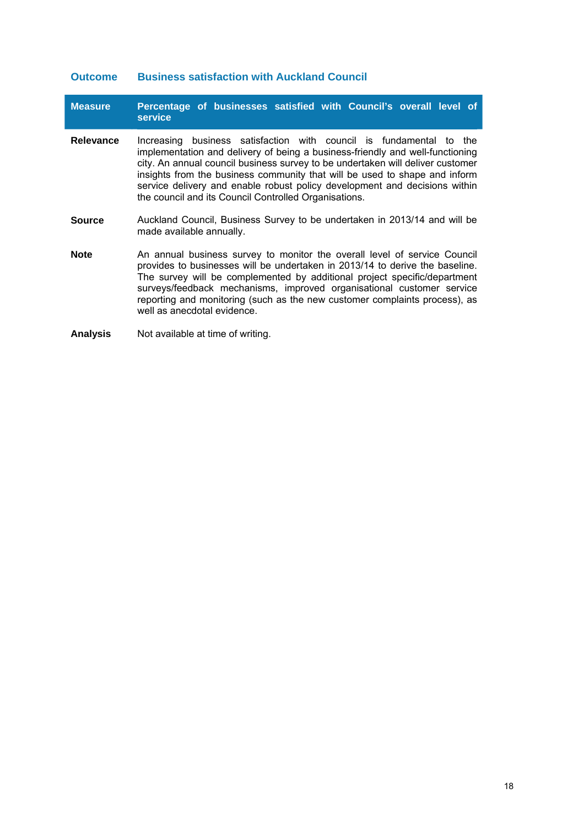### **Outcome Business satisfaction with Auckland Council**

| <b>Measure</b>   | Percentage of businesses satisfied with Council's overall level of<br><b>service</b>                                                                                                                                                                                                                                                                                                                                                                           |
|------------------|----------------------------------------------------------------------------------------------------------------------------------------------------------------------------------------------------------------------------------------------------------------------------------------------------------------------------------------------------------------------------------------------------------------------------------------------------------------|
| <b>Relevance</b> | business satisfaction with council is fundamental to the<br>Increasing<br>implementation and delivery of being a business-friendly and well-functioning<br>city. An annual council business survey to be undertaken will deliver customer<br>insights from the business community that will be used to shape and inform<br>service delivery and enable robust policy development and decisions within<br>the council and its Council Controlled Organisations. |
| <b>Source</b>    | Auckland Council, Business Survey to be undertaken in 2013/14 and will be<br>made available annually.                                                                                                                                                                                                                                                                                                                                                          |
| <b>Note</b>      | An annual business survey to monitor the overall level of service Council<br>provides to businesses will be undertaken in 2013/14 to derive the baseline.<br>The survey will be complemented by additional project specific/department<br>surveys/feedback mechanisms, improved organisational customer service<br>reporting and monitoring (such as the new customer complaints process), as<br>well as anecdotal evidence.                                   |
| <b>Analysis</b>  | Not available at time of writing.                                                                                                                                                                                                                                                                                                                                                                                                                              |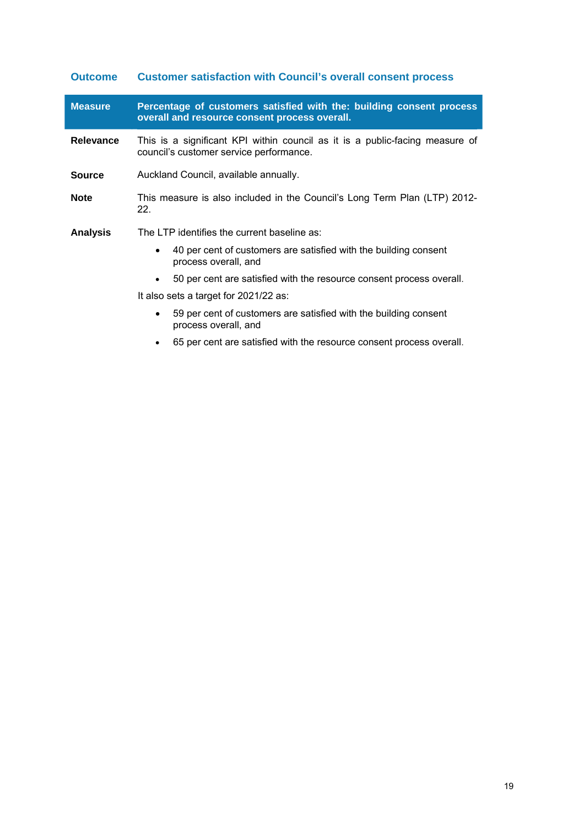| <b>Outcome</b>   | <b>Customer satisfaction with Council's overall consent process</b>                                                     |  |  |
|------------------|-------------------------------------------------------------------------------------------------------------------------|--|--|
| <b>Measure</b>   | Percentage of customers satisfied with the: building consent process<br>overall and resource consent process overall.   |  |  |
| <b>Relevance</b> | This is a significant KPI within council as it is a public-facing measure of<br>council's customer service performance. |  |  |
| <b>Source</b>    | Auckland Council, available annually.                                                                                   |  |  |
| <b>Note</b>      | This measure is also included in the Council's Long Term Plan (LTP) 2012-<br>22.                                        |  |  |
| <b>Analysis</b>  | The LTP identifies the current baseline as:                                                                             |  |  |
|                  | 40 per cent of customers are satisfied with the building consent<br>$\bullet$<br>process overall, and                   |  |  |
|                  | 50 per cent are satisfied with the resource consent process overall.<br>$\bullet$                                       |  |  |
|                  | It also sets a target for 2021/22 as:                                                                                   |  |  |
|                  | 59 per cent of customers are satisfied with the building consent<br>٠<br>process overall, and                           |  |  |

65 per cent are satisfied with the resource consent process overall.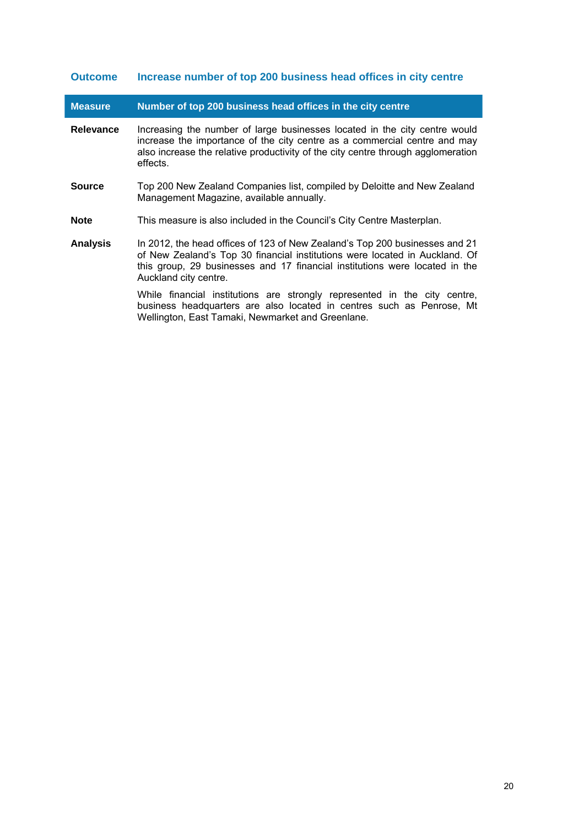### **Outcome Increase number of top 200 business head offices in city centre**

I

| <b>Measure</b>   | Number of top 200 business head offices in the city centre                                                                                                                                                                                                         |
|------------------|--------------------------------------------------------------------------------------------------------------------------------------------------------------------------------------------------------------------------------------------------------------------|
| <b>Relevance</b> | Increasing the number of large businesses located in the city centre would<br>increase the importance of the city centre as a commercial centre and may<br>also increase the relative productivity of the city centre through agglomeration<br>effects.            |
| <b>Source</b>    | Top 200 New Zealand Companies list, compiled by Deloitte and New Zealand<br>Management Magazine, available annually.                                                                                                                                               |
| <b>Note</b>      | This measure is also included in the Council's City Centre Masterplan.                                                                                                                                                                                             |
| <b>Analysis</b>  | In 2012, the head offices of 123 of New Zealand's Top 200 businesses and 21<br>of New Zealand's Top 30 financial institutions were located in Auckland. Of<br>this group, 29 businesses and 17 financial institutions were located in the<br>Auckland city centre. |
|                  | While financial institutions are strongly represented in the city centre,                                                                                                                                                                                          |

Wellington, East Tamaki, Newmarket and Greenlane.

business headquarters are also located in centres such as Penrose, Mt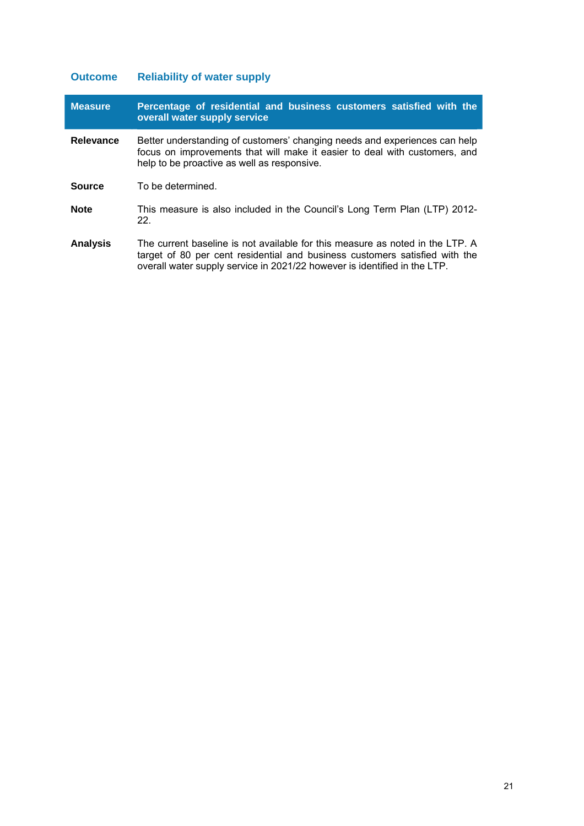# **Outcome Reliability of water supply**

| <b>Measure</b>   | Percentage of residential and business customers satisfied with the<br>overall water supply service                                                                                                                                       |
|------------------|-------------------------------------------------------------------------------------------------------------------------------------------------------------------------------------------------------------------------------------------|
| <b>Relevance</b> | Better understanding of customers' changing needs and experiences can help<br>focus on improvements that will make it easier to deal with customers, and<br>help to be proactive as well as responsive.                                   |
| <b>Source</b>    | To be determined.                                                                                                                                                                                                                         |
| <b>Note</b>      | This measure is also included in the Council's Long Term Plan (LTP) 2012-<br>$22_{-}$                                                                                                                                                     |
| <b>Analysis</b>  | The current baseline is not available for this measure as noted in the LTP. A<br>target of 80 per cent residential and business customers satisfied with the<br>overall water supply service in 2021/22 however is identified in the LTP. |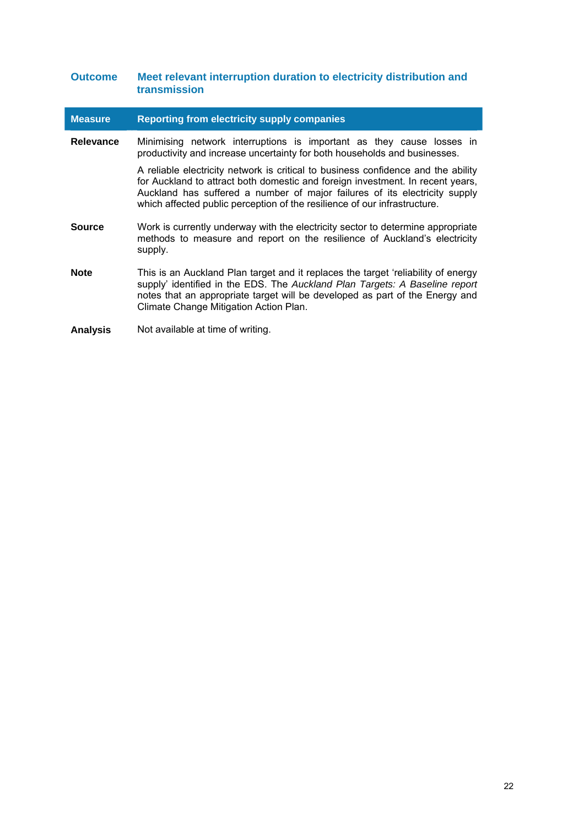### **Outcome Meet relevant interruption duration to electricity distribution and transmission**

| <b>Measure</b>   | <b>Reporting from electricity supply companies</b>                                                                                                                                                                                                                                                                             |
|------------------|--------------------------------------------------------------------------------------------------------------------------------------------------------------------------------------------------------------------------------------------------------------------------------------------------------------------------------|
| <b>Relevance</b> | Minimising network interruptions is important as they cause losses in<br>productivity and increase uncertainty for both households and businesses.                                                                                                                                                                             |
|                  | A reliable electricity network is critical to business confidence and the ability<br>for Auckland to attract both domestic and foreign investment. In recent years,<br>Auckland has suffered a number of major failures of its electricity supply<br>which affected public perception of the resilience of our infrastructure. |
| Source           | Work is currently underway with the electricity sector to determine appropriate<br>methods to measure and report on the resilience of Auckland's electricity<br>supply.                                                                                                                                                        |
| <b>Note</b>      | This is an Auckland Plan target and it replaces the target 'reliability of energy<br>supply' identified in the EDS. The Auckland Plan Targets: A Baseline report<br>notes that an appropriate target will be developed as part of the Energy and<br>Climate Change Mitigation Action Plan.                                     |
| <b>Analysis</b>  | Not available at time of writing.                                                                                                                                                                                                                                                                                              |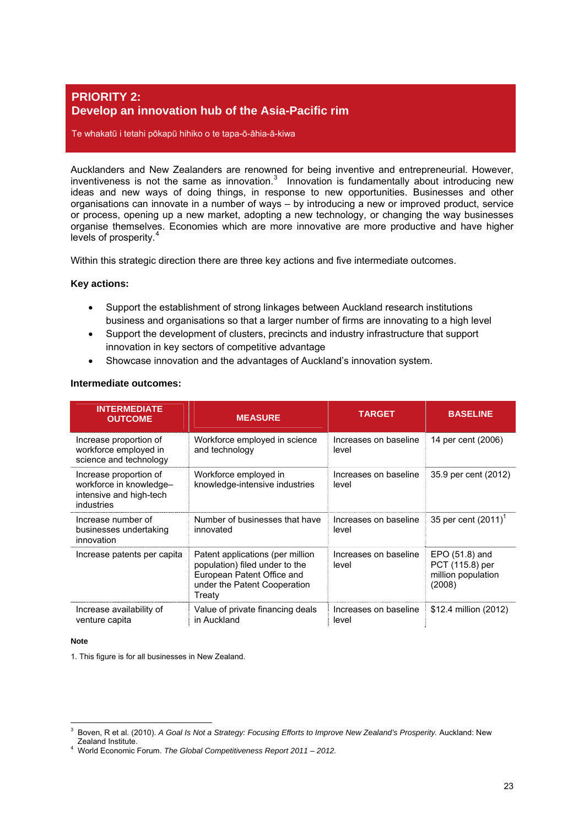### <span id="page-22-0"></span>**PRIORITY 2: Develop an innovation hub of the Asia-Pacific rim**

Te whakatū i tetahi pōkapū hihiko o te tapa-ō-āhia-ā-kiwa

Aucklanders and New Zealanders are renowned for being inventive and entrepreneurial. However, inventiveness is not the same as innovation. $3$  Innovation is fundamentally about introducing new ideas and new ways of doing things, in response to new opportunities. Businesses and other organisations can innovate in a number of ways – by introducing a new or improved product, service or process, opening up a new market, adopting a new technology, or changing the way businesses organise themselves. Economies which are more innovative are more productive and have higher levels of prosperity.<sup>[4](#page-22-2)</sup>

Within this strategic direction there are three key actions and five intermediate outcomes.

### **Key actions:**

- Support the establishment of strong linkages between Auckland research institutions business and organisations so that a larger number of firms are innovating to a high level
- Support the development of clusters, precincts and industry infrastructure that support innovation in key sectors of competitive advantage
- Showcase innovation and the advantages of Auckland's innovation system.

### **Intermediate outcomes:**

| <b>INTERMEDIATE</b><br><b>OUTCOME</b>                                                      | <b>MEASURE</b>                                                                                                                             | <b>TARGET</b>                  | <b>BASELINE</b>                                                   |
|--------------------------------------------------------------------------------------------|--------------------------------------------------------------------------------------------------------------------------------------------|--------------------------------|-------------------------------------------------------------------|
| Increase proportion of<br>workforce employed in<br>science and technology                  | Workforce employed in science<br>and technology                                                                                            | Increases on baseline<br>level | 14 per cent (2006)                                                |
| Increase proportion of<br>workforce in knowledge-<br>intensive and high-tech<br>industries | Workforce employed in<br>knowledge-intensive industries                                                                                    | Increases on baseline<br>level | 35.9 per cent (2012)                                              |
| Increase number of<br>businesses undertaking<br>innovation                                 | Number of businesses that have<br>innovated                                                                                                | Increases on baseline<br>level | 35 per cent $(2011)^1$                                            |
| Increase patents per capita                                                                | Patent applications (per million<br>population) filed under to the<br>European Patent Office and<br>under the Patent Cooperation<br>Treatv | Increases on baseline<br>level | EPO (51.8) and<br>PCT (115.8) per<br>million population<br>(2008) |
| Increase availability of<br>venture capita                                                 | Value of private financing deals<br>in Auckland                                                                                            | Increases on baseline<br>level | \$12.4 million (2012)                                             |

#### **Note**

 $\overline{a}$ 

1. This figure is for all businesses in New Zealand.

<span id="page-22-1"></span><sup>3</sup> Boven, R et al. (2010). *A Goal Is Not a Strategy: Focusing Efforts to Improve New Zealand's Prosperity.* Auckland: New Zealand Institute. Zealand Institute. <sup>4</sup> World Economic Forum. *The Global Competitiveness Report 2011 – 2012.*

<span id="page-22-2"></span>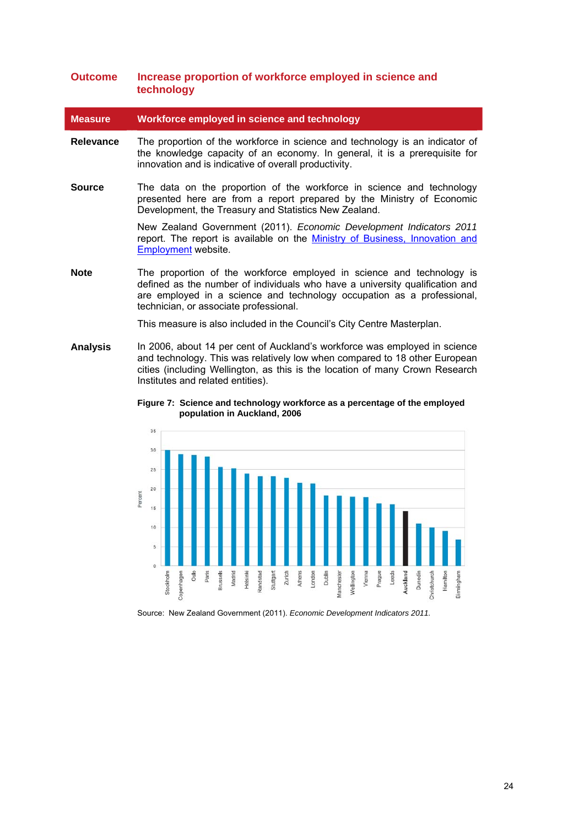### **Outcome Increase proportion of workforce employed in science and technology**

**Measure Workforce employed in science and technology** 

- **Relevance** The proportion of the workforce in science and technology is an indicator of the knowledge capacity of an economy. In general, it is a prerequisite for innovation and is indicative of overall productivity.
- **Source** The data on the proportion of the workforce in science and technology presented here are from a report prepared by the Ministry of Economic Development, the Treasury and Statistics New Zealand.

New Zealand Government (2011). *Economic Development Indicators 2011* report. The report is available on the Ministry of Business, Innovation and [Employment](http://www.med.govt.nz/about-us/publications/publications-by-topic/economic-indicators/economic-development-indicators-2011) website.

**Note The proportion of the workforce employed in science and technology is** defined as the number of individuals who have a university qualification and are employed in a science and technology occupation as a professional, technician, or associate professional.

This measure is also included in the Council's City Centre Masterplan.

<span id="page-23-0"></span>**Analysis** In 2006, about 14 per cent of Auckland's workforce was employed in science and technology. This was relatively low when compared to 18 other European cities (including Wellington, as this is the location of many Crown Research Institutes and related entities).



**Figure 7: Science and technology workforce as a percentage of the employed population in Auckland, 2006** 

Source: New Zealand Government (2011). *Economic Development Indicators 2011.*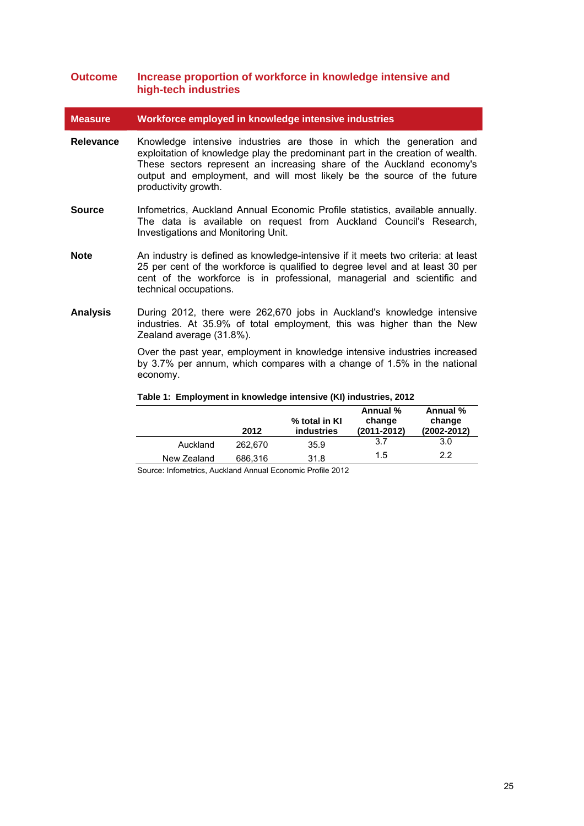### **Outcome Increase proportion of workforce in knowledge intensive and high-tech industries**

**Measure Workforce employed in knowledge intensive industries** 

- **Relevance** Knowledge intensive industries are those in which the generation and exploitation of knowledge play the predominant part in the creation of wealth. These sectors represent an increasing share of the Auckland economy's output and employment, and will most likely be the source of the future productivity growth.
- **Source** Infometrics, Auckland Annual Economic Profile statistics, available annually. The data is available on request from Auckland Council's Research, Investigations and Monitoring Unit.
- **Note** An industry is defined as knowledge-intensive if it meets two criteria: at least 25 per cent of the workforce is qualified to degree level and at least 30 per cent of the workforce is in professional, managerial and scientific and technical occupations.
- <span id="page-24-0"></span>**Analysis** During 2012, there were 262,670 jobs in Auckland's knowledge intensive industries. At 35.9% of total employment, this was higher than the New Zealand average (31.8%).

Over the past year, employment in knowledge intensive industries increased by 3.7% per annum, which compares with a change of 1.5% in the national economy.

|             |         |                             | Annual %                  | Annual %                  |
|-------------|---------|-----------------------------|---------------------------|---------------------------|
|             | 2012    | % total in KI<br>industries | change<br>$(2011 - 2012)$ | change<br>$(2002 - 2012)$ |
| Auckland    | 262.670 | 35.9                        | 3.7                       | 3.0                       |
| New Zealand | 686,316 | 31.8                        | 1.5                       | 2.2                       |

#### **Table 1: Employment in knowledge intensive (KI) industries, 2012**

Source: Infometrics, Auckland Annual Economic Profile 2012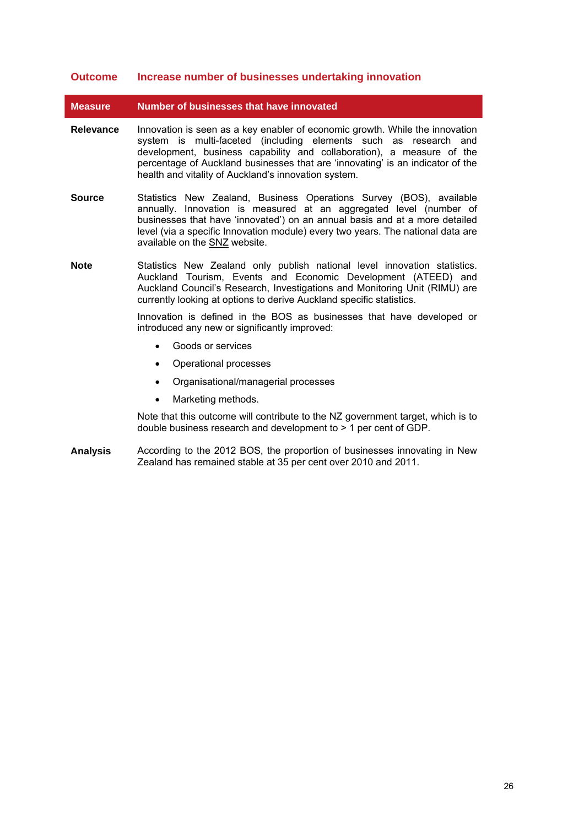### **Outcome Increase number of businesses undertaking innovation**

**Measure Number of businesses that have innovated** 

- **Relevance** Innovation is seen as a key enabler of economic growth. While the innovation system is multi-faceted (including elements such as research and development, business capability and collaboration), a measure of the percentage of Auckland businesses that are 'innovating' is an indicator of the health and vitality of Auckland's innovation system.
- **Source** Statistics New Zealand, Business Operations Survey (BOS), available annually. Innovation is measured at an aggregated level (number of businesses that have 'innovated') on an annual basis and at a more detailed level (via a specific Innovation module) every two years. The national data are available on the [SNZ](http://www.stats.govt.nz/browse_for_stats/businesses/business_growth_and_innovation/business-operations-survey-info-releases.aspx) website.
- **Note** Statistics New Zealand only publish national level innovation statistics. Auckland Tourism, Events and Economic Development (ATEED) and Auckland Council's Research, Investigations and Monitoring Unit (RIMU) are currently looking at options to derive Auckland specific statistics.

Innovation is defined in the BOS as businesses that have developed or introduced any new or significantly improved:

- Goods or services
- Operational processes
- Organisational/managerial processes
- Marketing methods.

Note that this outcome will contribute to the NZ government target, which is to double business research and development to > 1 per cent of GDP.

**Analysis** According to the 2012 BOS, the proportion of businesses innovating in New Zealand has remained stable at 35 per cent over 2010 and 2011.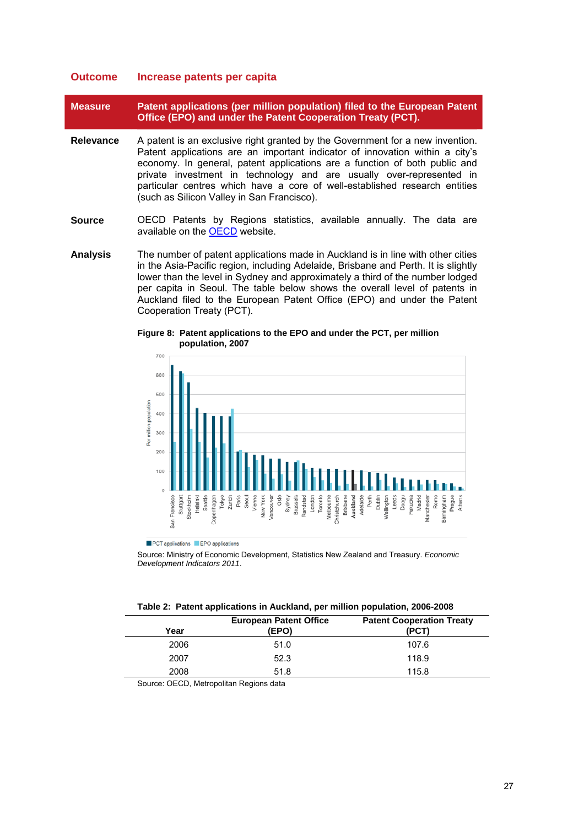### **Outcome Increase patents per capita**

**Measure Patent applications (per million population) filed to the European Patent Office (EPO) and under the Patent Cooperation Treaty (PCT).** 

- **Relevance** A patent is an exclusive right granted by the Government for a new invention. Patent applications are an important indicator of innovation within a city's economy. In general, patent applications are a function of both public and private investment in technology and are usually over-represented in particular centres which have a core of well-established research entities (such as Silicon Valley in San Francisco).
- **Source** OECD Patents by Regions statistics, available annually. The data are available on the [OECD](http://www.oecd-ilibrary.org/science-and-technology/data/oecd-patent-statistics/patents-by-regions_data-00509-en?isPartOf=/content/datacollection/patent-data-en) website.
- <span id="page-26-1"></span>**Analysis** The number of patent applications made in Auckland is in line with other cities in the Asia-Pacific region, including Adelaide, Brisbane and Perth. It is slightly lower than the level in Sydney and approximately a third of the number lodged per capita in Seoul. The table below shows the overall level of patents in Auckland filed to the European Patent Office (EPO) and under the Patent Cooperation Treaty (PCT).



**Figure 8: Patent applications to the EPO and under the PCT, per million population, 2007** 

PCT applications PEPO applications

Source: Ministry of Economic Development, Statistics New Zealand and Treasury. *Economic Development Indicators 2011*.

<span id="page-26-0"></span>

| Year | <b>European Patent Office</b><br>(EPO) | <b>Patent Cooperation Treaty</b><br>(PCT |  |
|------|----------------------------------------|------------------------------------------|--|
| 2006 | 51.0                                   | 107.6                                    |  |
| 2007 | 52.3                                   | 118.9                                    |  |
| 2008 | 51.8                                   | 115.8                                    |  |
|      |                                        |                                          |  |

Source: OECD, Metropolitan Regions data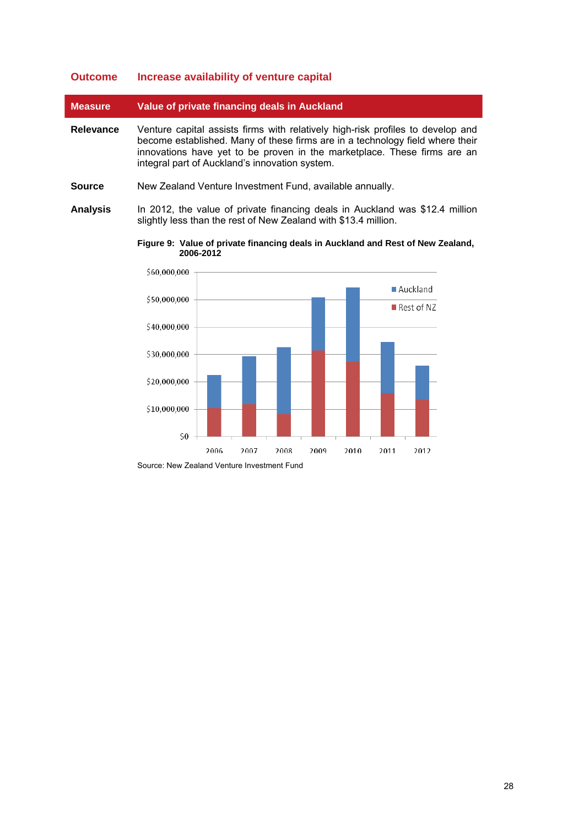### **Outcome Increase availability of venture capital**

| <b>Measure</b> | Value of private financing deals in Auckland                                                                                                                                                                                                                                                   |  |
|----------------|------------------------------------------------------------------------------------------------------------------------------------------------------------------------------------------------------------------------------------------------------------------------------------------------|--|
| Relevance      | Venture capital assists firms with relatively high-risk profiles to develop and<br>become established. Many of these firms are in a technology field where their<br>innovations have yet to be proven in the marketplace. These firms are an<br>integral part of Auckland's innovation system. |  |

- **Source** New Zealand Venture Investment Fund, available annually.
- <span id="page-27-0"></span>**Analysis** In 2012, the value of private financing deals in Auckland was \$12.4 million slightly less than the rest of New Zealand with \$13.4 million.

**Figure 9: Value of private financing deals in Auckland and Rest of New Zealand, 2006-2012** 



Source: New Zealand Venture Investment Fund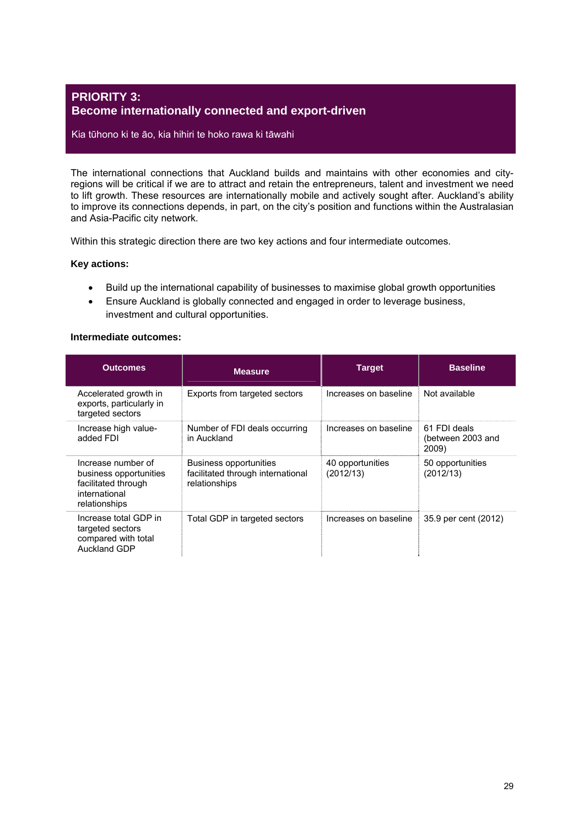### <span id="page-28-0"></span>**PRIORITY 3: Become internationally connected and export-driven**

### Kia tūhono ki te āo, kia hihiri te hoko rawa ki tāwahi

The international connections that Auckland builds and maintains with other economies and cityregions will be critical if we are to attract and retain the entrepreneurs, talent and investment we need to lift growth. These resources are internationally mobile and actively sought after. Auckland's ability to improve its connections depends, in part, on the city's position and functions within the Australasian and Asia-Pacific city network.

Within this strategic direction there are two key actions and four intermediate outcomes.

### **Key actions:**

- Build up the international capability of businesses to maximise global growth opportunities
- Ensure Auckland is globally connected and engaged in order to leverage business, investment and cultural opportunities.

### **Intermediate outcomes:**

| <b>Outcomes</b>                                                                                       | <b>Measure</b>                                                               | <b>Target</b>                 | <b>Baseline</b>                            |
|-------------------------------------------------------------------------------------------------------|------------------------------------------------------------------------------|-------------------------------|--------------------------------------------|
| Accelerated growth in<br>exports, particularly in<br>targeted sectors                                 | Exports from targeted sectors                                                | Increases on baseline         | Not available                              |
| Increase high value-<br>added FDI                                                                     | Number of FDI deals occurring<br>in Auckland                                 | Increases on baseline         | 61 FDI deals<br>(between 2003 and<br>2009) |
| Increase number of<br>business opportunities<br>facilitated through<br>international<br>relationships | Business opportunities<br>facilitated through international<br>relationships | 40 opportunities<br>(2012/13) | 50 opportunities<br>(2012/13)              |
| Increase total GDP in<br>targeted sectors<br>compared with total<br><b>Auckland GDP</b>               | Total GDP in targeted sectors                                                | Increases on baseline         | 35.9 per cent (2012)                       |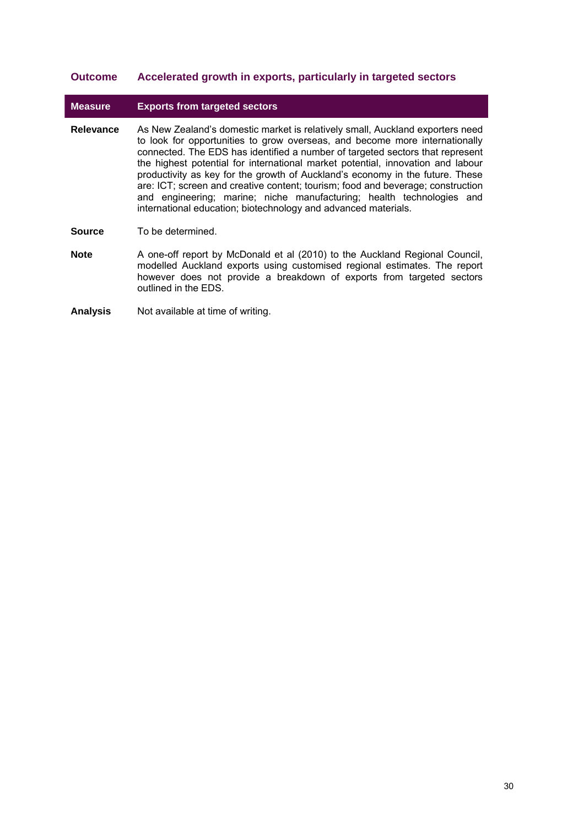### **Outcome Accelerated growth in exports, particularly in targeted sectors**

### **Measure Exports from targeted sectors**

- **Relevance** As New Zealand's domestic market is relatively small, Auckland exporters need to look for opportunities to grow overseas, and become more internationally connected. The EDS has identified a number of targeted sectors that represent the highest potential for international market potential, innovation and labour productivity as key for the growth of Auckland's economy in the future. These are: ICT; screen and creative content; tourism; food and beverage; construction and engineering; marine; niche manufacturing; health technologies and international education; biotechnology and advanced materials.
- **Source** To be determined.
- **Note** A one-off report by McDonald et al (2010) to the Auckland Regional Council, modelled Auckland exports using customised regional estimates. The report however does not provide a breakdown of exports from targeted sectors outlined in the EDS.
- **Analysis** Not available at time of writing.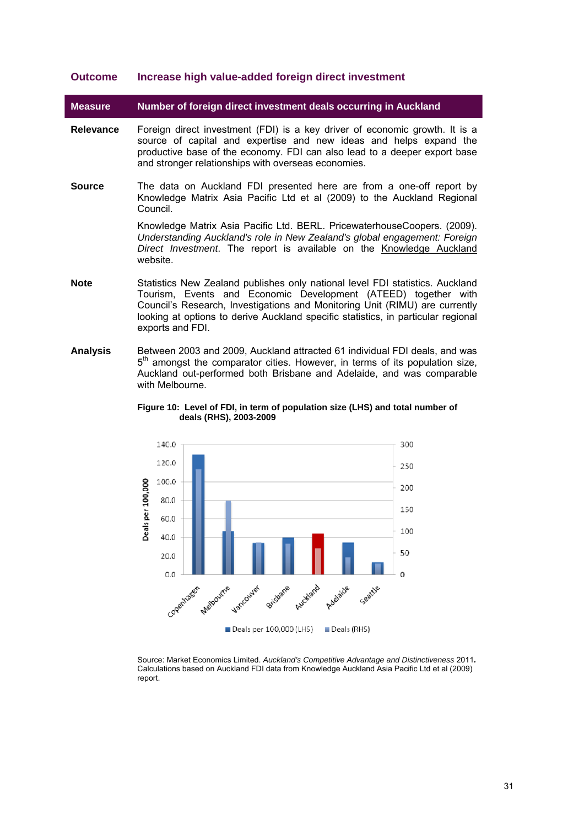### **Outcome Increase high value-added foreign direct investment**

**Measure Number of foreign direct investment deals occurring in Auckland** 

- **Relevance** Foreign direct investment (FDI) is a key driver of economic growth. It is a source of capital and expertise and new ideas and helps expand the productive base of the economy. FDI can also lead to a deeper export base and stronger relationships with overseas economies.
- **Source** The data on Auckland FDI presented here are from a one-off report by Knowledge Matrix Asia Pacific Ltd et al (2009) to the Auckland Regional Council.

Knowledge Matrix Asia Pacific Ltd. BERL. PricewaterhouseCoopers. (2009). *Understanding Auckland's role in New Zealand's global engagement: Foreign Direct Investment*. The report is available on the [Knowledge Auckland](http://www.knowledgeauckland.org.nz/home/publications/publications_home.cfm?oID=D857532D-145E-173C-9838-5425F69CC60D) website.

- **Note** Statistics New Zealand publishes only national level FDI statistics. Auckland Tourism, Events and Economic Development (ATEED) together with Council's Research, Investigations and Monitoring Unit (RIMU) are currently looking at options to derive Auckland specific statistics, in particular regional exports and FDI.
- <span id="page-30-0"></span>**Analysis** Between 2003 and 2009, Auckland attracted 61 individual FDI deals, and was  $5<sup>th</sup>$  amongst the comparator cities. However, in terms of its population size, Auckland out-performed both Brisbane and Adelaide, and was comparable with Melbourne.

**Figure 10: Level of FDI, in term of population size (LHS) and total number of deals (RHS), 2003-2009**



Source: Market Economics Limited. *Auckland's Competitive Advantage and Distinctiveness* 2011*.*  Calculations based on Auckland FDI data from Knowledge Auckland Asia Pacific Ltd et al (2009) report.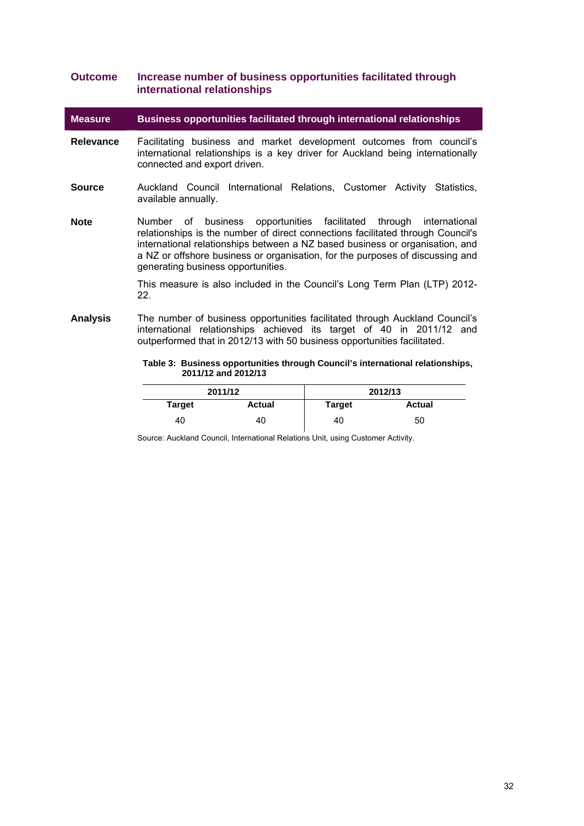### <span id="page-31-0"></span>**Outcome Increase number of business opportunities facilitated through international relationships**

**Measure Business opportunities facilitated through international relationships** 

- **Relevance** Facilitating business and market development outcomes from council's international relationships is a key driver for Auckland being internationally connected and export driven.
- **Source** Auckland Council International Relations, Customer Activity Statistics, available annually.
- **Note** Number of business opportunities facilitated through international relationships is the number of direct connections facilitated through Council's international relationships between a NZ based business or organisation, and a NZ or offshore business or organisation, for the purposes of discussing and generating business opportunities.

This measure is also included in the Council's Long Term Plan (LTP) 2012- 22.

**Analysis** The number of business opportunities facilitated through Auckland Council's  $intermational$  relationships achieved its target of  $40$  in 2011/12 and outperformed that in 2012/13 with 50 business opportunities facilitated.

> **Table 3: Business opportunities through Council's international relationships, 2011/12 and 2012/13**

| 2011/12 |               |               | 2012/13       |
|---------|---------------|---------------|---------------|
| Target  | <b>Actual</b> | <b>Target</b> | <b>Actual</b> |
| 40      | 40            | 40            | 50            |

Source: Auckland Council, International Relations Unit, using Customer Activity.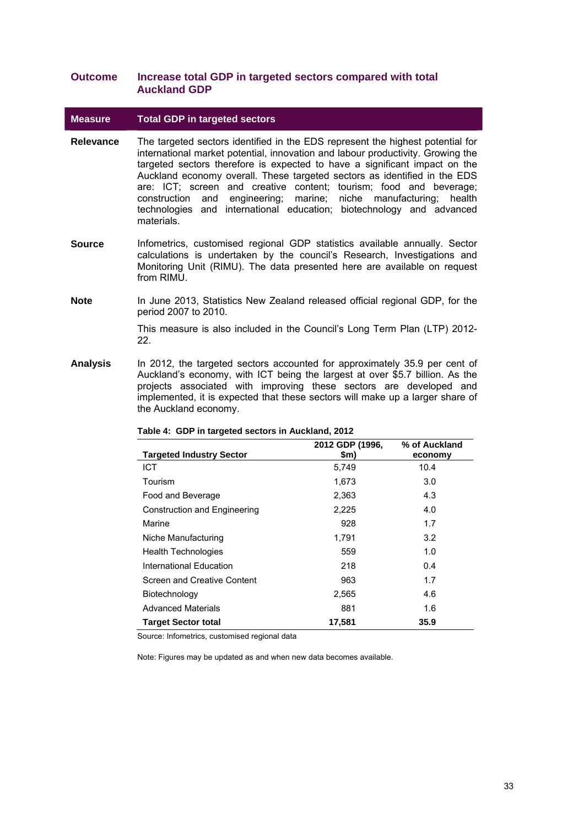### **Outcome Increase total GDP in targeted sectors compared with total Auckland GDP**

### **Measure Total GDP in targeted sectors**

- **Relevance** The targeted sectors identified in the EDS represent the highest potential for international market potential, innovation and labour productivity. Growing the targeted sectors therefore is expected to have a significant impact on the Auckland economy overall. These targeted sectors as identified in the EDS are: ICT; screen and creative content; tourism; food and beverage; construction and engineering; marine; niche manufacturing; health technologies and international education; biotechnology and advanced materials.
- **Source** Infometrics, customised regional GDP statistics available annually. Sector calculations is undertaken by the council's Research, Investigations and Monitoring Unit (RIMU). The data presented here are available on request from RIMU.
- **Note** In June 2013, Statistics New Zealand released official regional GDP, for the period 2007 to 2010.

This measure is also included in the Council's Long Term Plan (LTP) 2012- 22.

<span id="page-32-0"></span>**Analysis** In 2012, the targeted sectors accounted for approximately 35.9 per cent of Auckland's economy, with ICT being the largest at over \$5.7 billion. As the projects associated with improving these sectors are developed and implemented, it is expected that these sectors will make up a larger share of the Auckland economy.

|                                 | 2012 GDP (1996, | % of Auckland |
|---------------------------------|-----------------|---------------|
| <b>Targeted Industry Sector</b> | \$m)            | economy       |
| <b>ICT</b>                      | 5,749           | 10.4          |
| Tourism                         | 1,673           | 3.0           |
| Food and Beverage               | 2,363           | 4.3           |
| Construction and Engineering    | 2,225           | 4.0           |
| Marine                          | 928             | 1.7           |
| Niche Manufacturing             | 1,791           | 3.2           |
| <b>Health Technologies</b>      | 559             | 1.0           |
| International Education         | 218             | 0.4           |
| Screen and Creative Content     | 963             | 1.7           |
| Biotechnology                   | 2,565           | 4.6           |
| <b>Advanced Materials</b>       | 881             | 1.6           |
| <b>Target Sector total</b>      | 17,581          | 35.9          |

#### **Table 4: GDP in targeted sectors in Auckland, 2012**

Source: Infometrics, customised regional data

Note: Figures may be updated as and when new data becomes available.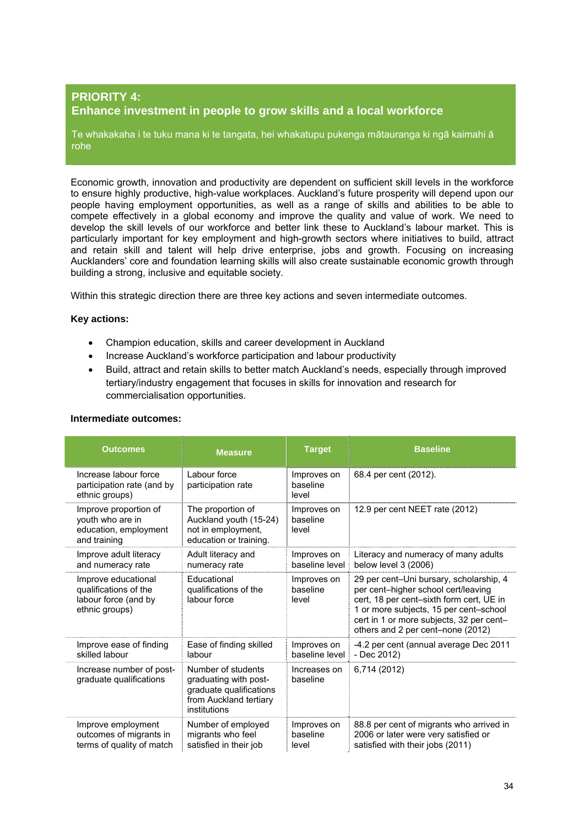### <span id="page-33-0"></span>**PRIORITY 4: Enhance investment in people to grow skills and a local workforce**

Te whakakaha i te tuku mana ki te tangata, hei whakatupu pukenga mātauranga ki ngā kaimahi ā rohe

Economic growth, innovation and productivity are dependent on sufficient skill levels in the workforce to ensure highly productive, high-value workplaces. Auckland's future prosperity will depend upon our people having employment opportunities, as well as a range of skills and abilities to be able to compete effectively in a global economy and improve the quality and value of work. We need to develop the skill levels of our workforce and better link these to Auckland's labour market. This is particularly important for key employment and high-growth sectors where initiatives to build, attract and retain skill and talent will help drive enterprise, jobs and growth. Focusing on increasing Aucklanders' core and foundation learning skills will also create sustainable economic growth through building a strong, inclusive and equitable society.

Within this strategic direction there are three key actions and seven intermediate outcomes.

### **Key actions:**

- Champion education, skills and career development in Auckland
- Increase Auckland's workforce participation and labour productivity
- Build, attract and retain skills to better match Auckland's needs, especially through improved tertiary/industry engagement that focuses in skills for innovation and research for commercialisation opportunities.

| <b>Outcomes</b>                                                                        | <b>Measure</b>                                                                                                   | <b>Target</b>                    | <b>Baseline</b>                                                                                                                                                                                                                                       |
|----------------------------------------------------------------------------------------|------------------------------------------------------------------------------------------------------------------|----------------------------------|-------------------------------------------------------------------------------------------------------------------------------------------------------------------------------------------------------------------------------------------------------|
| Increase labour force<br>participation rate (and by<br>ethnic groups)                  | Labour force<br>participation rate                                                                               | Improves on<br>baseline<br>level | 68.4 per cent (2012).                                                                                                                                                                                                                                 |
| Improve proportion of<br>youth who are in<br>education, employment<br>and training     | The proportion of<br>Auckland youth (15-24)<br>not in employment,<br>education or training.                      | Improves on<br>baseline<br>level | 12.9 per cent NEET rate (2012)                                                                                                                                                                                                                        |
| Improve adult literacy<br>and numeracy rate                                            | Adult literacy and<br>numeracy rate                                                                              | Improves on<br>baseline level    | Literacy and numeracy of many adults<br>below level 3 (2006)                                                                                                                                                                                          |
| Improve educational<br>qualifications of the<br>labour force (and by<br>ethnic groups) | Educational<br>qualifications of the<br>labour force                                                             | Improves on<br>baseline<br>level | 29 per cent-Uni bursary, scholarship, 4<br>per cent-higher school cert/leaving<br>cert, 18 per cent-sixth form cert, UE in<br>1 or more subjects, 15 per cent-school<br>cert in 1 or more subjects, 32 per cent-<br>others and 2 per cent-none (2012) |
| Improve ease of finding<br>skilled labour                                              | Ease of finding skilled<br>labour                                                                                | Improves on<br>baseline level    | -4.2 per cent (annual average Dec 2011<br>- Dec 2012)                                                                                                                                                                                                 |
| Increase number of post-<br>graduate qualifications                                    | Number of students<br>graduating with post-<br>graduate qualifications<br>from Auckland tertiary<br>institutions | Increases on<br>baseline         | 6,714 (2012)                                                                                                                                                                                                                                          |
| Improve employment<br>outcomes of migrants in<br>terms of quality of match             | Number of employed<br>migrants who feel<br>satisfied in their job                                                | Improves on<br>baseline<br>level | 88.8 per cent of migrants who arrived in<br>2006 or later were very satisfied or<br>satisfied with their jobs (2011)                                                                                                                                  |

### **Intermediate outcomes:**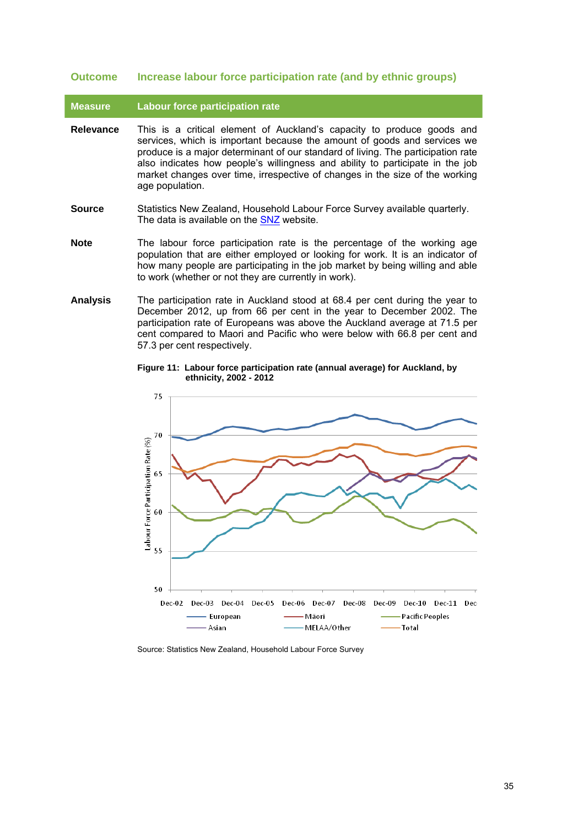### **Outcome Increase labour force participation rate (and by ethnic groups)**

**Measure Labour force participation rate** 

- **Relevance** This is a critical element of Auckland's capacity to produce goods and services, which is important because the amount of goods and services we produce is a major determinant of our standard of living. The participation rate also indicates how people's willingness and ability to participate in the job market changes over time, irrespective of changes in the size of the working age population.
- **Source** Statistics New Zealand, Household Labour Force Survey available quarterly. The data is available on the [SNZ](http://www.stats.govt.nz/browse_for_stats/income-and-work/employment_and_unemployment/household-labour-force-survey-info-releases.aspx) website.
- **Note** The labour force participation rate is the percentage of the working age population that are either employed or looking for work. It is an indicator of how many people are participating in the job market by being willing and able to work (whether or not they are currently in work).
- <span id="page-34-0"></span>**Analysis** The participation rate in Auckland stood at 68.4 per cent during the year to December 2012, up from 66 per cent in the year to December 2002. The participation rate of Europeans was above the Auckland average at 71.5 per cent compared to Maori and Pacific who were below with 66.8 per cent and 57.3 per cent respectively.

**Figure 11: Labour force participation rate (annual average) for Auckland, by ethnicity, 2002 - 2012** 



Source: Statistics New Zealand, Household Labour Force Survey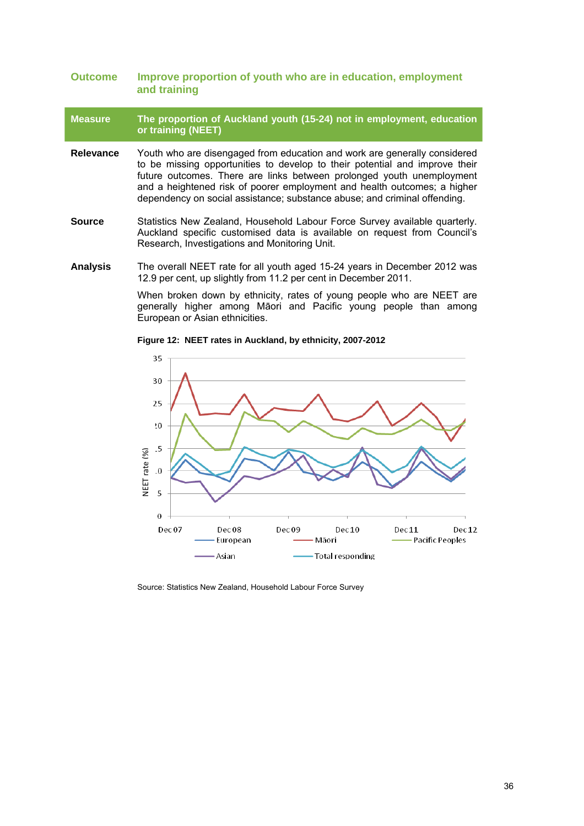### **Outcome Improve proportion of youth who are in education, employment and training**

### **Measure The proportion of Auckland youth (15-24) not in employment, education or training (NEET)**

- **Relevance** Youth who are disengaged from education and work are generally considered to be missing opportunities to develop to their potential and improve their future outcomes. There are links between prolonged youth unemployment and a heightened risk of poorer employment and health outcomes; a higher dependency on social assistance; substance abuse; and criminal offending.
- **Source** Statistics New Zealand, Household Labour Force Survey available quarterly. Auckland specific customised data is available on request from Council's Research, Investigations and Monitoring Unit.

<span id="page-35-0"></span>**Analysis** The overall NEET rate for all youth aged 15-24 years in December 2012 was 12.9 per cent, up slightly from 11.2 per cent in December 2011.

> When broken down by ethnicity, rates of young people who are NEET are generally higher among Māori and Pacific young people than among European or Asian ethnicities.



**Figure 12: NEET rates in Auckland, by ethnicity, 2007-2012**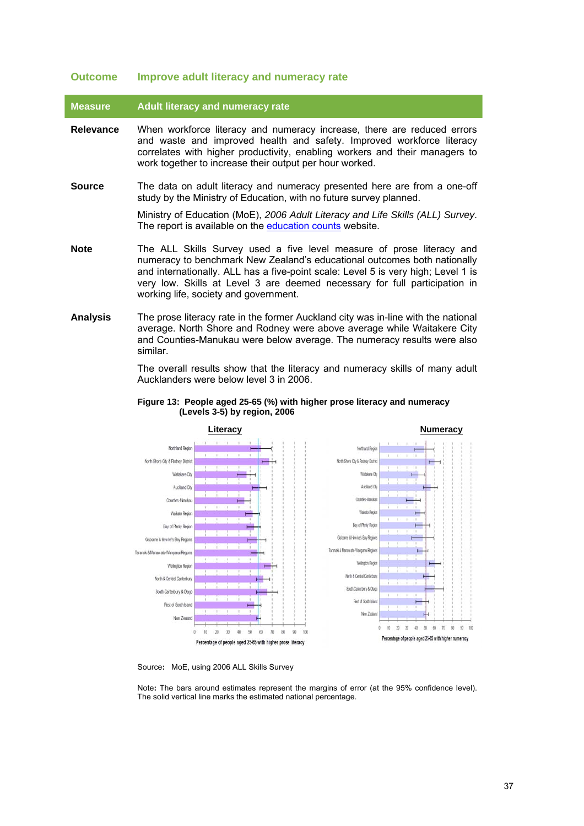#### **Outcome Improve adult literacy and numeracy rate**

**Measure Adult literacy and numeracy rate** 

- **Relevance** When workforce literacy and numeracy increase, there are reduced errors and waste and improved health and safety. Improved workforce literacy correlates with higher productivity, enabling workers and their managers to work together to increase their output per hour worked.
- **Source** The data on adult literacy and numeracy presented here are from a one-off study by the Ministry of Education, with no future survey planned.

Ministry of Education (MoE), *2006 Adult Literacy and Life Skills (ALL) Survey*. The report is available on the [education counts](http://www.educationcounts.govt.nz/topics/research/all/all_2006) website.

- **Note** The ALL Skills Survey used a five level measure of prose literacy and numeracy to benchmark New Zealand's educational outcomes both nationally and internationally. ALL has a five-point scale: Level 5 is very high; Level 1 is very low. Skills at Level 3 are deemed necessary for full participation in working life, society and government.
- <span id="page-36-0"></span>**Analysis** The prose literacy rate in the former Auckland city was in-line with the national average. North Shore and Rodney were above average while Waitakere City and Counties-Manukau were below average. The numeracy results were also similar.

The overall results show that the literacy and numeracy skills of many adult Aucklanders were below level 3 in 2006.





Source**:** MoE, using 2006 ALL Skills Survey

Note**:** The bars around estimates represent the margins of error (at the 95% confidence level). The solid vertical line marks the estimated national percentage.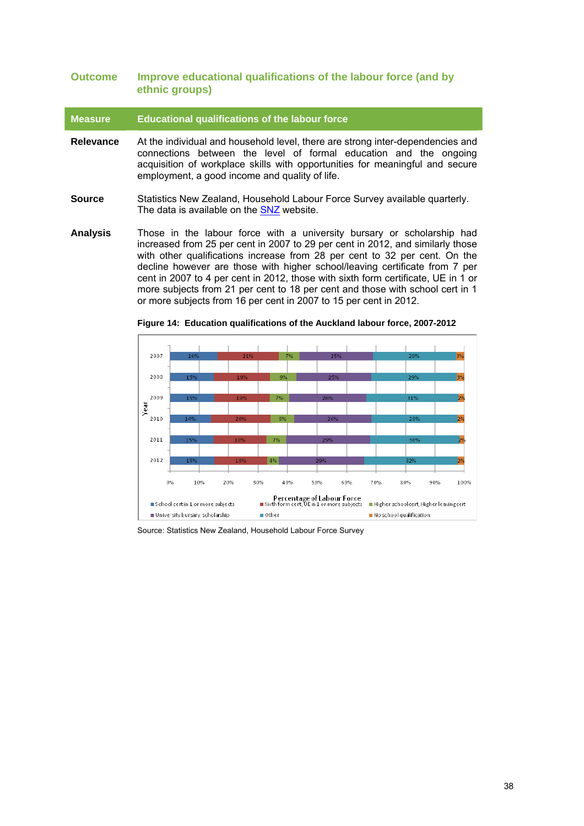### **Outcome Improve educational qualifications of the labour force (and by ethnic groups)**

**Measure Educational qualifications of the labour force** 

- **Relevance** At the individual and household level, there are strong inter-dependencies and connections between the level of formal education and the ongoing acquisition of workplace skills with opportunities for meaningful and secure employment, a good income and quality of life.
- **Source** Statistics New Zealand, Household Labour Force Survey available quarterly. The data is available on the [SNZ](http://www.stats.govt.nz/browse_for_stats/income-and-work/employment_and_unemployment/household-labour-force-survey-info-releases.aspx) website.
- <span id="page-37-0"></span>**Analysis** Those in the labour force with a university bursary or scholarship had increased from 25 per cent in 2007 to 29 per cent in 2012, and similarly those with other qualifications increase from 28 per cent to 32 per cent. On the decline however are those with higher school/leaving certificate from 7 per cent in 2007 to 4 per cent in 2012, those with sixth form certificate, UE in 1 or more subjects from 21 per cent to 18 per cent and those with school cert in 1 or more subjects from 16 per cent in 2007 to 15 per cent in 2012.



**Figure 14: Education qualifications of the Auckland labour force, 2007-2012**

Source: Statistics New Zealand, Household Labour Force Survey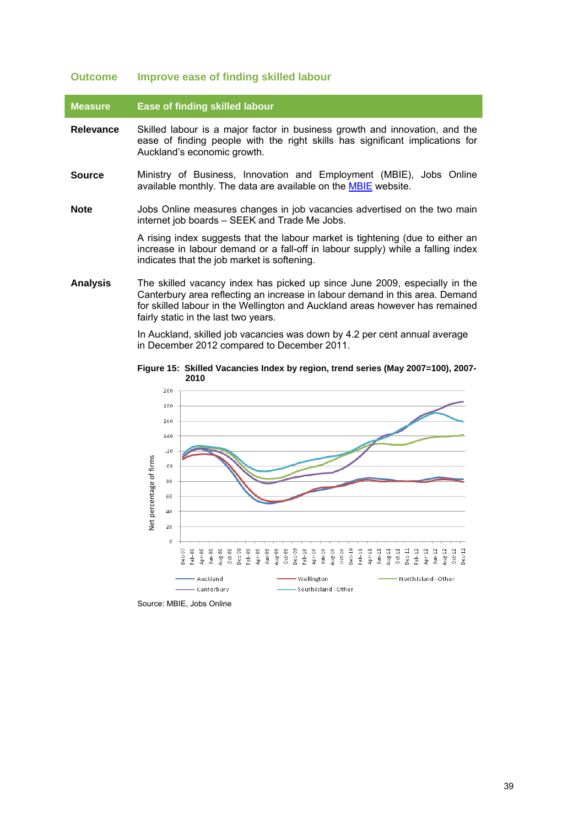#### **Outcome Improve ease of finding skilled labour**

#### **Measure Ease of finding skilled labour**

- **Relevance** Skilled labour is a major factor in business growth and innovation, and the ease of finding people with the right skills has significant implications for Auckland's economic growth.
- **Source** Ministry of Business, Innovation and Employment (MBIE), Jobs Online available monthly. The data are available on the **MBIE** website.
- **Note** Jobs Online measures changes in job vacancies advertised on the two main internet job boards – SEEK and Trade Me Jobs.

A rising index suggests that the labour market is tightening (due to either an increase in labour demand or a fall-off in labour supply) while a falling index indicates that the job market is softening.

<span id="page-38-0"></span>**Analysis** The skilled vacancy index has picked up since June 2009, especially in the Canterbury area reflecting an increase in labour demand in this area. Demand for skilled labour in the Wellington and Auckland areas however has remained fairly static in the last two years.

> In Auckland, skilled job vacancies was down by 4.2 per cent annual average in December 2012 compared to December 2011.



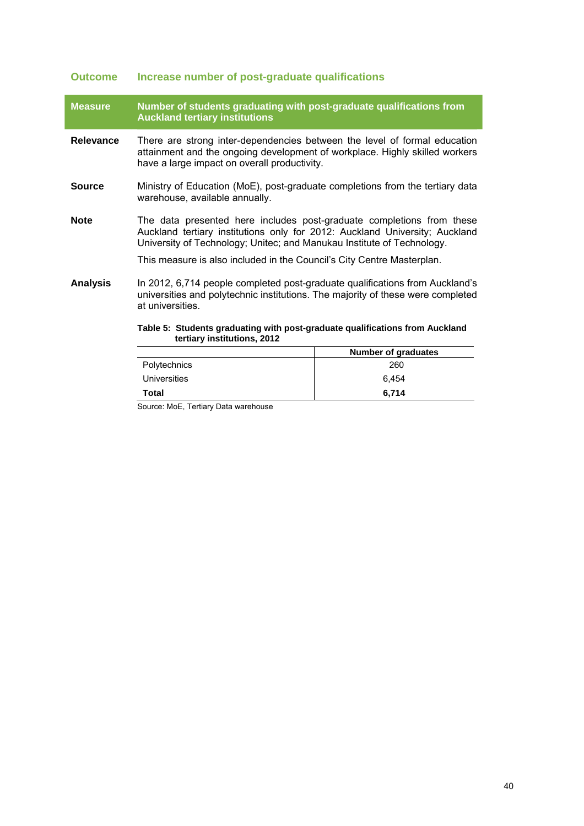# **Outcome Increase number of post-graduate qualifications**

| <b>Measure</b>  | Number of students graduating with post-graduate qualifications from<br><b>Auckland tertiary institutions</b>                                                                                                                  |                            |  |
|-----------------|--------------------------------------------------------------------------------------------------------------------------------------------------------------------------------------------------------------------------------|----------------------------|--|
| Relevance       | There are strong inter-dependencies between the level of formal education<br>attainment and the ongoing development of workplace. Highly skilled workers<br>have a large impact on overall productivity.                       |                            |  |
| <b>Source</b>   | Ministry of Education (MoE), post-graduate completions from the tertiary data<br>warehouse, available annually.                                                                                                                |                            |  |
| <b>Note</b>     | The data presented here includes post-graduate completions from these<br>Auckland tertiary institutions only for 2012: Auckland University; Auckland<br>University of Technology; Unitec; and Manukau Institute of Technology. |                            |  |
|                 | This measure is also included in the Council's City Centre Masterplan.                                                                                                                                                         |                            |  |
| <b>Analysis</b> | In 2012, 6,714 people completed post-graduate qualifications from Auckland's<br>universities and polytechnic institutions. The majority of these were completed<br>at universities.                                            |                            |  |
|                 | Table 5: Students graduating with post-graduate qualifications from Auckland<br>tertiary institutions, 2012                                                                                                                    |                            |  |
|                 |                                                                                                                                                                                                                                | <b>Number of graduates</b> |  |
|                 | Polytechnics                                                                                                                                                                                                                   | 260                        |  |

<span id="page-39-0"></span>Universities 6,454 **Total 6,714** 

Source: MoE, Tertiary Data warehouse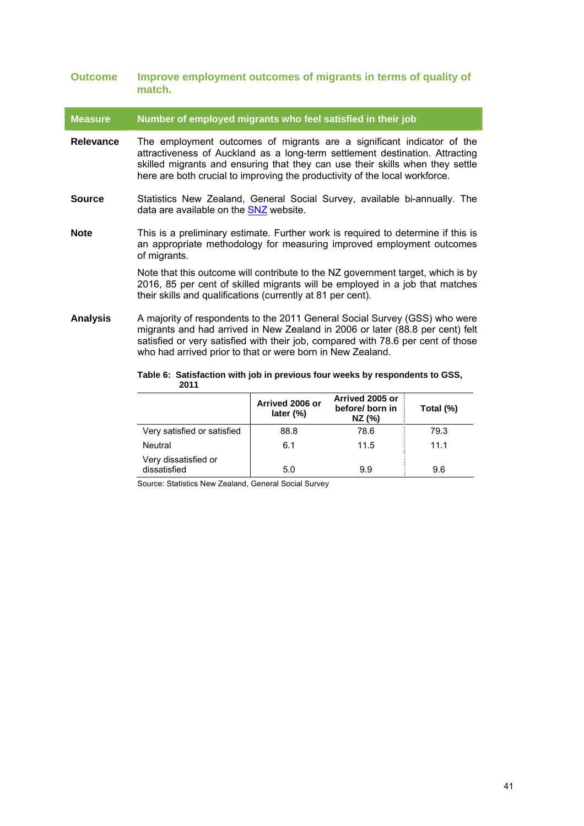| <b>Outcome</b>  | Improve employment outcomes of migrants in terms of quality of<br>match.                                                                                                                                                                                                                                               |
|-----------------|------------------------------------------------------------------------------------------------------------------------------------------------------------------------------------------------------------------------------------------------------------------------------------------------------------------------|
| <b>Measure</b>  | Number of employed migrants who feel satisfied in their job                                                                                                                                                                                                                                                            |
| Relevance       | The employment outcomes of migrants are a significant indicator of the<br>attractiveness of Auckland as a long-term settlement destination. Attracting<br>skilled migrants and ensuring that they can use their skills when they settle<br>here are both crucial to improving the productivity of the local workforce. |
| <b>Source</b>   | Statistics New Zealand, General Social Survey, available bi-annually. The<br>data are available on the SNZ website.                                                                                                                                                                                                    |
| <b>Note</b>     | This is a preliminary estimate. Further work is required to determine if this is<br>an appropriate methodology for measuring improved employment outcomes<br>of migrants.                                                                                                                                              |
|                 | Note that this outcome will contribute to the NZ government target, which is by<br>2016, 85 per cent of skilled migrants will be employed in a job that matches<br>their skills and qualifications (currently at 81 per cent).                                                                                         |
| <b>Analysis</b> | A majority of respondents to the 2011 General Social Survey (GSS) who were<br>migrants and had arrived in New Zealand in 2006 or later (88.8 per cent) felt<br>satisfied or very satisfied with their job, compared with 78.6 per cent of those<br>who had arrived prior to that or were born in New Zealand.          |
|                 | Table 6: Satisfaction with job in previous four weeks by respondents to GSS,                                                                                                                                                                                                                                           |

<span id="page-40-0"></span>

| rapic of Canonaviron with job in provious four wooks by respondents to Goo,<br>2011 |                                 |                                                |           |
|-------------------------------------------------------------------------------------|---------------------------------|------------------------------------------------|-----------|
|                                                                                     | Arrived 2006 or<br>later $(\%)$ | Arrived 2005 or<br>before/ born in<br>$NZ$ (%) | Total (%) |
| Very satisfied or satisfied                                                         | 88.8                            | 78.6                                           | 79.3      |
| Neutral                                                                             | 6.1                             | 11.5                                           | 11.1      |
| Very dissatisfied or<br>dissatisfied                                                | 5.0                             | 9.9                                            | 9.6       |

Source: Statistics New Zealand, General Social Survey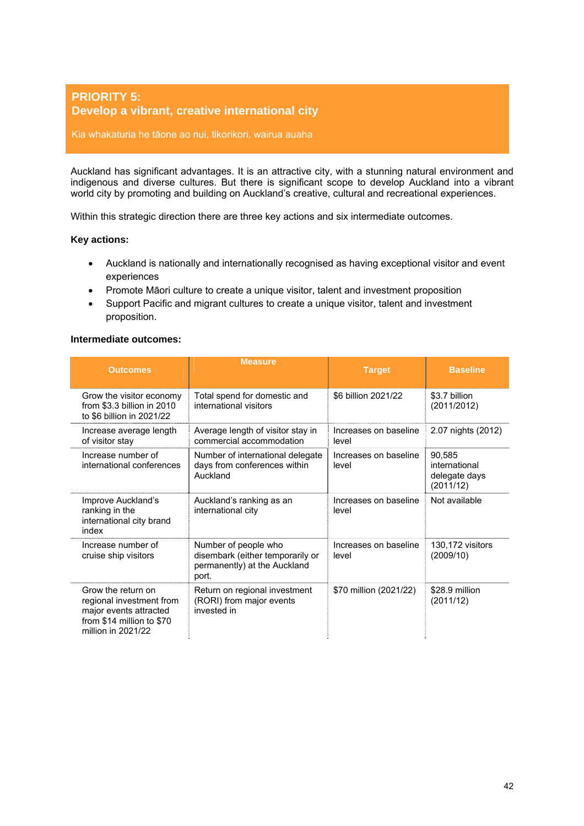### <span id="page-41-0"></span>**PRIORITY 5: Develop a vibrant, creative international city**

### Kia whakaturia he tāone ao nui, tikorikori, wairua auaha

Auckland has significant advantages. It is an attractive city, with a stunning natural environment and indigenous and diverse cultures. But there is significant scope to develop Auckland into a vibrant world city by promoting and building on Auckland's creative, cultural and recreational experiences.

Within this strategic direction there are three key actions and six intermediate outcomes.

### **Key actions:**

- Auckland is nationally and internationally recognised as having exceptional visitor and event experiences
- Promote Māori culture to create a unique visitor, talent and investment proposition
- Support Pacific and migrant cultures to create a unique visitor, talent and investment proposition.

### **Intermediate outcomes:**

| <b>Outcomes</b>                                                                                                             | <b>Measure</b>                                                                                    | <b>Target</b>                  | <b>Baseline</b>                                       |
|-----------------------------------------------------------------------------------------------------------------------------|---------------------------------------------------------------------------------------------------|--------------------------------|-------------------------------------------------------|
| Grow the visitor economy<br>from \$3.3 billion in 2010<br>to \$6 billion in 2021/22                                         | Total spend for domestic and<br>international visitors                                            | \$6 billion 2021/22            | \$3.7 billion<br>(2011/2012)                          |
| Increase average length<br>of visitor stay                                                                                  | Average length of visitor stay in<br>commercial accommodation                                     | Increases on baseline<br>level | 2.07 nights (2012)                                    |
| Increase number of<br>international conferences                                                                             | Number of international delegate<br>days from conferences within<br>Auckland                      | Increases on baseline<br>level | 90,585<br>international<br>delegate days<br>(2011/12) |
| Improve Auckland's<br>ranking in the<br>international city brand<br>index                                                   | Auckland's ranking as an<br>international city                                                    | Increases on baseline<br>level | Not available                                         |
| Increase number of<br>cruise ship visitors                                                                                  | Number of people who<br>disembark (either temporarily or<br>permanently) at the Auckland<br>port. | Increases on baseline<br>level | 130,172 visitors<br>(2009/10)                         |
| Grow the return on<br>regional investment from<br>major events attracted<br>from \$14 million to \$70<br>million in 2021/22 | Return on regional investment<br>(RORI) from major events<br>invested in                          | \$70 million (2021/22)         | \$28.9 million<br>(2011/12)                           |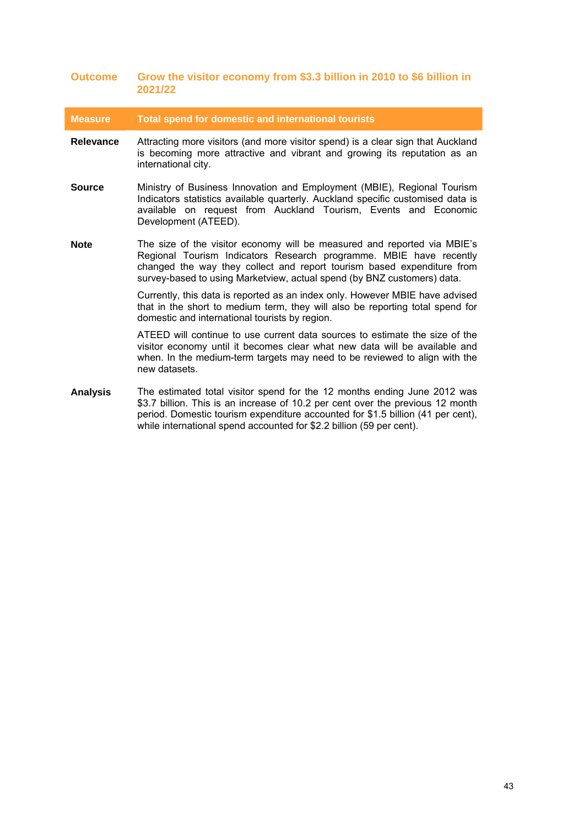### **Outcome Grow the visitor economy from \$3.3 billion in 2010 to \$6 billion in 2021/22**

**Measure Total spend for domestic and international tourists** 

- **Relevance** Attracting more visitors (and more visitor spend) is a clear sign that Auckland is becoming more attractive and vibrant and growing its reputation as an international city.
- **Source** Ministry of Business Innovation and Employment (MBIE), Regional Tourism Indicators statistics available quarterly. Auckland specific customised data is available on request from Auckland Tourism, Events and Economic Development (ATEED).
- **Note** The size of the visitor economy will be measured and reported via MBIE's Regional Tourism Indicators Research programme. MBIE have recently changed the way they collect and report tourism based expenditure from survey-based to using Marketview, actual spend (by BNZ customers) data.

Currently, this data is reported as an index only. However MBIE have advised that in the short to medium term, they will also be reporting total spend for domestic and international tourists by region.

ATEED will continue to use current data sources to estimate the size of the visitor economy until it becomes clear what new data will be available and when. In the medium-term targets may need to be reviewed to align with the new datasets.

**Analysis** The estimated total visitor spend for the 12 months ending June 2012 was \$3.7 billion. This is an increase of 10.2 per cent over the previous 12 month period. Domestic tourism expenditure accounted for \$1.5 billion (41 per cent), while international spend accounted for \$2.2 billion (59 per cent).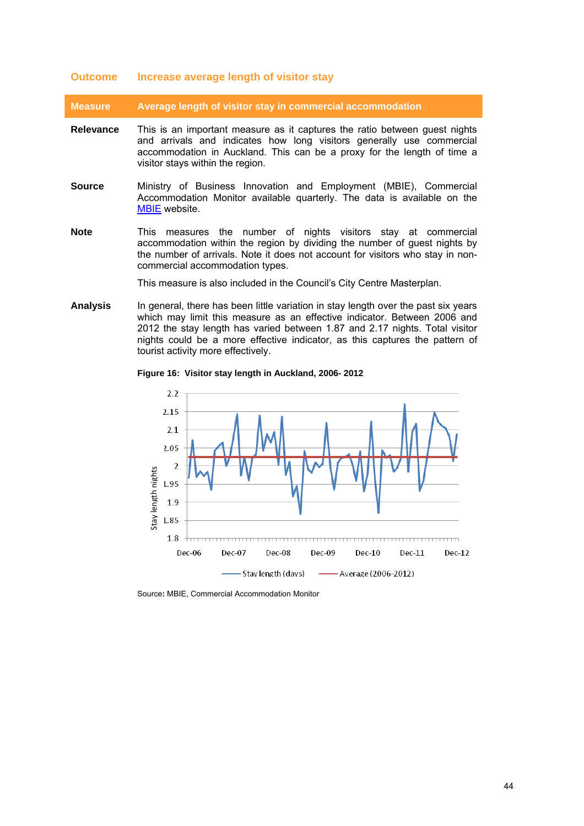#### **Outcome Increase average length of visitor stay**

**Measure Average length of visitor stay in commercial accommodation** 

- **Relevance** This is an important measure as it captures the ratio between guest nights and arrivals and indicates how long visitors generally use commercial accommodation in Auckland. This can be a proxy for the length of time a visitor stays within the region.
- **Source** Ministry of Business Innovation and Employment (MBIE), Commercial Accommodation Monitor available quarterly. The data is available on the [MBIE](http://www.med.govt.nz/sectors-industries/tourism/tourism-research-data/commercial-accommodation-monitor-data) website.
- **Note** This measures the number of nights visitors stay at commercial accommodation within the region by dividing the number of guest nights by the number of arrivals. Note it does not account for visitors who stay in noncommercial accommodation types.

This measure is also included in the Council's City Centre Masterplan.

<span id="page-43-0"></span>**Analysis** In general, there has been little variation in stay length over the past six years which may limit this measure as an effective indicator. Between 2006 and 2012 the stay length has varied between 1.87 and 2.17 nights. Total visitor nights could be a more effective indicator, as this captures the pattern of tourist activity more effectively.

#### **Figure 16: Visitor stay length in Auckland, 2006- 2012**

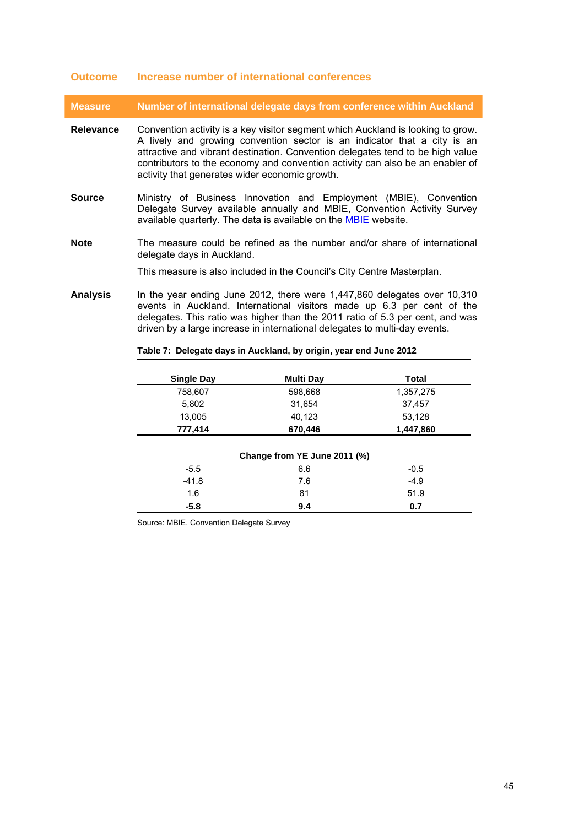### **Outcome Increase number of international conferences**

**Measure Number of international delegate days from conference within Auckland** 

- **Relevance** Convention activity is a key visitor segment which Auckland is looking to grow. A lively and growing convention sector is an indicator that a city is an attractive and vibrant destination. Convention delegates tend to be high value contributors to the economy and convention activity can also be an enabler of activity that generates wider economic growth.
- **Source** Ministry of Business Innovation and Employment (MBIE), Convention Delegate Survey available annually and MBIE, Convention Activity Survey available quarterly. The data is available on the [MBIE](http://www.med.govt.nz/sectors-industries/tourism/tourism-research-data/other-research-and-reports/convention-research/delegate-survey) website.
- **Note** The measure could be refined as the number and/or share of international delegate days in Auckland.

This measure is also included in the Council's City Centre Masterplan.

<span id="page-44-0"></span>**Analysis** In the year ending June 2012, there were 1,447,860 delegates over 10,310 events in Auckland. International visitors made up 6.3 per cent of the delegates. This ratio was higher than the 2011 ratio of 5.3 per cent, and was driven by a large increase in international delegates to multi-day events.

| <b>Single Day</b> | <b>Multi Day</b>             | <b>Total</b>  |  |
|-------------------|------------------------------|---------------|--|
| 758,607           | 598,668<br>1,357,275         |               |  |
| 5,802             | 31,654                       | 37,457        |  |
| 13,005            | 40,123<br>53,128             |               |  |
| 777,414           | 670,446                      | 1,447,860     |  |
|                   | Change from YE June 2011 (%) |               |  |
| $-5.5$            | 6.6                          | $-0.5$        |  |
|                   |                              | 7.6<br>$-4.9$ |  |
| $-41.8$           |                              |               |  |
| 1.6               | 81                           | 51.9          |  |

### **Table 7: Delegate days in Auckland, by origin, year end June 2012**

Source: MBIE, Convention Delegate Survey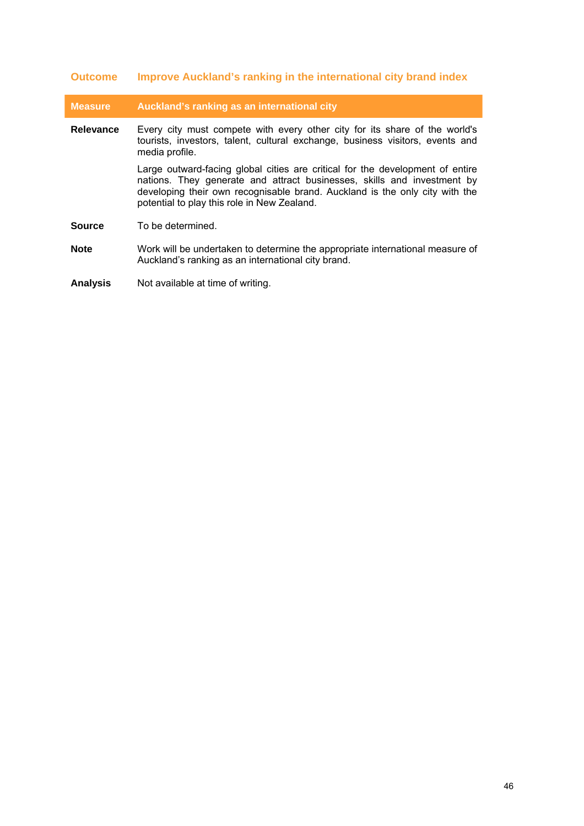# **Outcome Improve Auckland's ranking in the international city brand index**

| <b>Measure</b> | Auckland's ranking as an international city                                                                                                                                                                                                                                            |
|----------------|----------------------------------------------------------------------------------------------------------------------------------------------------------------------------------------------------------------------------------------------------------------------------------------|
| Relevance      | Every city must compete with every other city for its share of the world's<br>tourists, investors, talent, cultural exchange, business visitors, events and<br>media profile.                                                                                                          |
|                | Large outward-facing global cities are critical for the development of entire<br>nations. They generate and attract businesses, skills and investment by<br>developing their own recognisable brand. Auckland is the only city with the<br>potential to play this role in New Zealand. |
| <b>Source</b>  | To be determined.                                                                                                                                                                                                                                                                      |
| <b>Note</b>    | Work will be undertaken to determine the appropriate international measure of<br>Auckland's ranking as an international city brand.                                                                                                                                                    |

**Analysis** Not available at time of writing.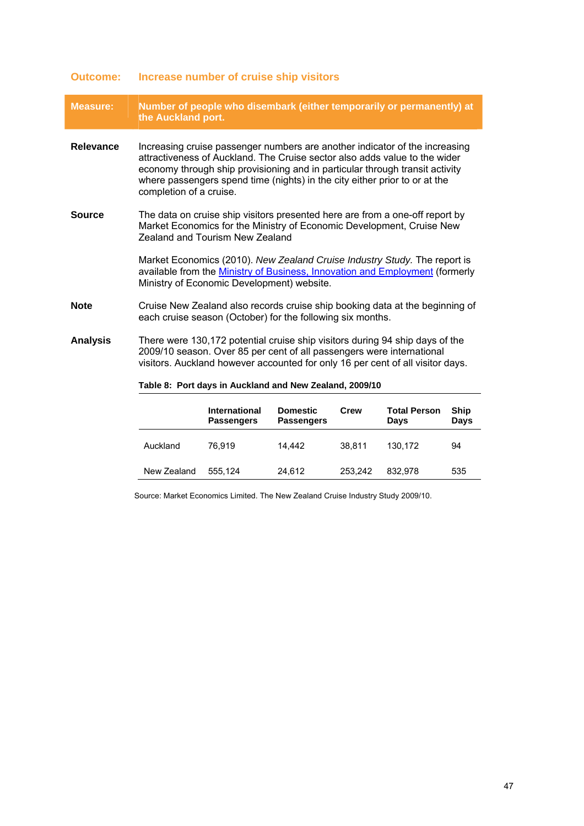| <b>Measure:</b>  | Number of people who disembark (either temporarily or permanently) at<br>the Auckland port.                                                                                                                                                                                                                                                        |                                                                                                                                                                                                         |                                      |        |                             |                     |
|------------------|----------------------------------------------------------------------------------------------------------------------------------------------------------------------------------------------------------------------------------------------------------------------------------------------------------------------------------------------------|---------------------------------------------------------------------------------------------------------------------------------------------------------------------------------------------------------|--------------------------------------|--------|-----------------------------|---------------------|
| <b>Relevance</b> | Increasing cruise passenger numbers are another indicator of the increasing<br>attractiveness of Auckland. The Cruise sector also adds value to the wider<br>economy through ship provisioning and in particular through transit activity<br>where passengers spend time (nights) in the city either prior to or at the<br>completion of a cruise. |                                                                                                                                                                                                         |                                      |        |                             |                     |
| <b>Source</b>    | The data on cruise ship visitors presented here are from a one-off report by<br>Market Economics for the Ministry of Economic Development, Cruise New<br>Zealand and Tourism New Zealand                                                                                                                                                           |                                                                                                                                                                                                         |                                      |        |                             |                     |
|                  |                                                                                                                                                                                                                                                                                                                                                    | Market Economics (2010). New Zealand Cruise Industry Study. The report is<br>available from the Ministry of Business, Innovation and Employment (formerly<br>Ministry of Economic Development) website. |                                      |        |                             |                     |
| <b>Note</b>      | Cruise New Zealand also records cruise ship booking data at the beginning of<br>each cruise season (October) for the following six months.                                                                                                                                                                                                         |                                                                                                                                                                                                         |                                      |        |                             |                     |
| <b>Analysis</b>  | There were 130,172 potential cruise ship visitors during 94 ship days of the<br>2009/10 season. Over 85 per cent of all passengers were international<br>visitors. Auckland however accounted for only 16 per cent of all visitor days.                                                                                                            |                                                                                                                                                                                                         |                                      |        |                             |                     |
|                  | Table 8: Port days in Auckland and New Zealand, 2009/10                                                                                                                                                                                                                                                                                            |                                                                                                                                                                                                         |                                      |        |                             |                     |
|                  |                                                                                                                                                                                                                                                                                                                                                    | International<br><b>Passengers</b>                                                                                                                                                                      | <b>Domestic</b><br><b>Passengers</b> | Crew   | <b>Total Person</b><br>Days | <b>Ship</b><br>Days |
|                  | Auckland                                                                                                                                                                                                                                                                                                                                           | 76.919                                                                                                                                                                                                  | 14.442                               | 38.811 | 130,172                     | 94                  |

### **Outcome: Increase number of cruise ship visitors**

Source: Market Economics Limited. The New Zealand Cruise Industry Study 2009/10.

<span id="page-46-0"></span>New Zealand 555,124 24,612 253,242 832,978 535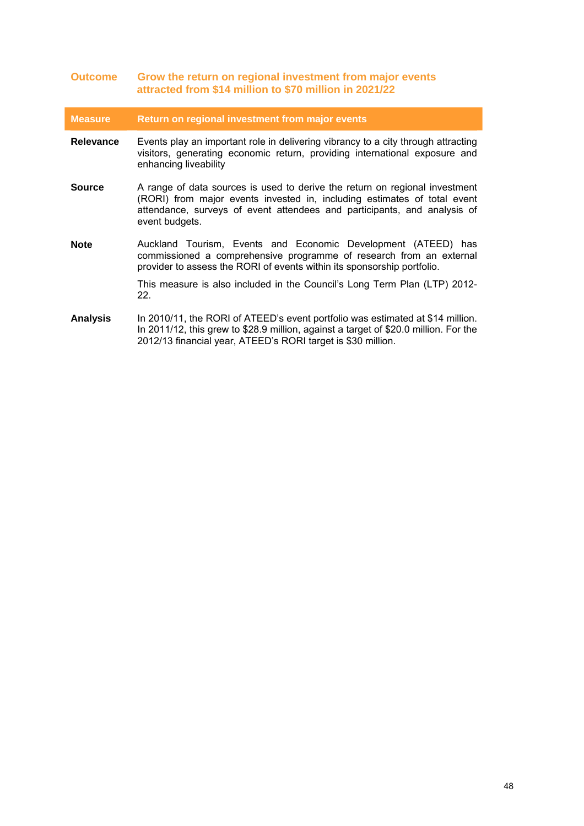| <b>Outcome</b>   | Grow the return on regional investment from major events<br>attracted from \$14 million to \$70 million in 2021/22                                                                                                                                    |
|------------------|-------------------------------------------------------------------------------------------------------------------------------------------------------------------------------------------------------------------------------------------------------|
| <b>Measure</b>   | Return on regional investment from major events                                                                                                                                                                                                       |
| <b>Relevance</b> | Events play an important role in delivering vibrancy to a city through attracting<br>visitors, generating economic return, providing international exposure and<br>enhancing liveability                                                              |
| <b>Source</b>    | A range of data sources is used to derive the return on regional investment<br>(RORI) from major events invested in, including estimates of total event<br>attendance, surveys of event attendees and participants, and analysis of<br>event budgets. |
| <b>Note</b>      | Auckland Tourism, Events and Economic Development (ATEED) has<br>commissioned a comprehensive programme of research from an external<br>provider to assess the RORI of events within its sponsorship portfolio.                                       |
|                  | This measure is also included in the Council's Long Term Plan (LTP) 2012-<br>22.                                                                                                                                                                      |
| <b>Analysis</b>  | In 2010/11, the RORI of ATEED's event portfolio was estimated at \$14 million.<br>In 2011/12, this grew to \$28.9 million, against a target of \$20.0 million. For the<br>2012/13 financial year, ATEED's RORI target is \$30 million.                |

I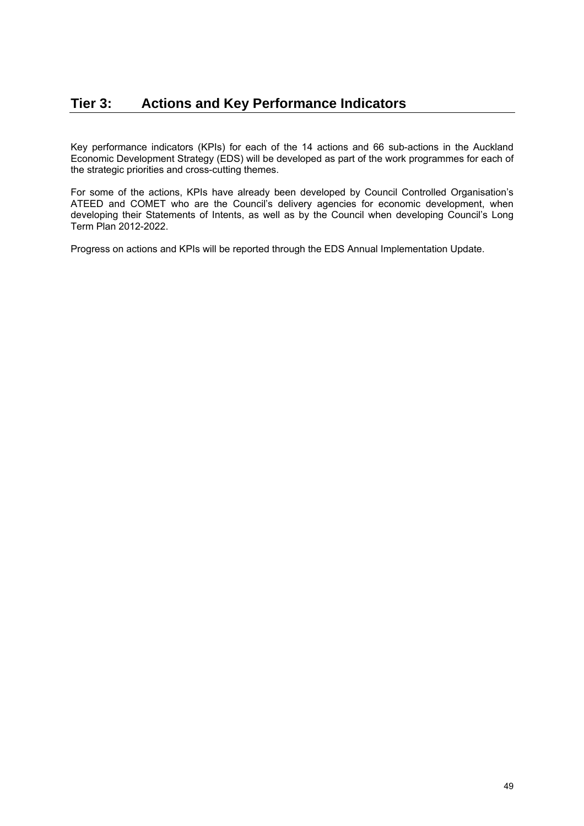<span id="page-48-0"></span>Key performance indicators (KPIs) for each of the 14 actions and 66 sub-actions in the Auckland Economic Development Strategy (EDS) will be developed as part of the work programmes for each of the strategic priorities and cross-cutting themes.

For some of the actions, KPIs have already been developed by Council Controlled Organisation's ATEED and COMET who are the Council's delivery agencies for economic development, when developing their Statements of Intents, as well as by the Council when developing Council's Long Term Plan 2012-2022.

Progress on actions and KPIs will be reported through the EDS Annual Implementation Update.